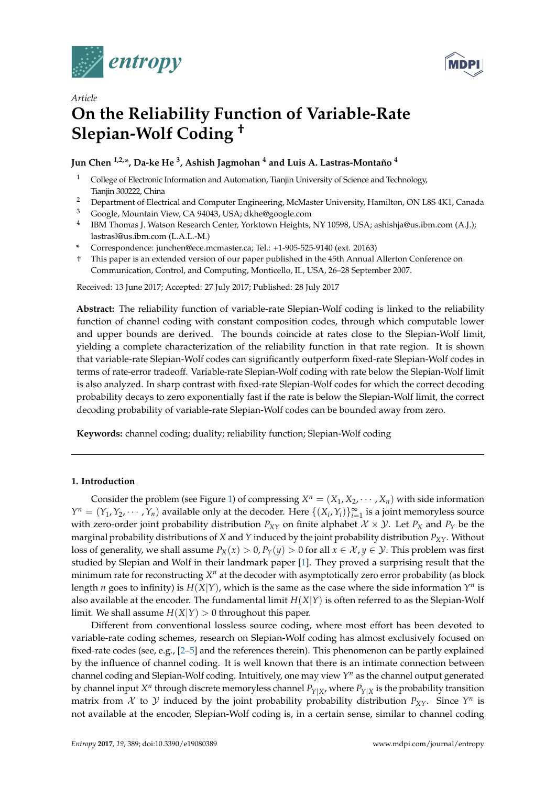



# *Article* **On the Reliability Function of Variable-Rate Slepian-Wolf Coding †**

## **Jun Chen 1,2,\*, Da-ke He <sup>3</sup> , Ashish Jagmohan <sup>4</sup> and Luis A. Lastras-Montaño <sup>4</sup>**

- <sup>1</sup> College of Electronic Information and Automation, Tianjin University of Science and Technology, Tianjin 300222, China
- <sup>2</sup> Department of Electrical and Computer Engineering, McMaster University, Hamilton, ON L8S 4K1, Canada
- <sup>3</sup> Google, Mountain View, CA 94043, USA; dkhe@google.com
- 4 IBM Thomas J. Watson Research Center, Yorktown Heights, NY 10598, USA; ashishja@us.ibm.com (A.J.); lastrasl@us.ibm.com (L.A.L.-M.)
- **\*** Correspondence: junchen@ece.mcmaster.ca; Tel.: +1-905-525-9140 (ext. 20163)
- † This paper is an extended version of our paper published in the 45th Annual Allerton Conference on Communication, Control, and Computing, Monticello, IL, USA, 26–28 September 2007.

Received: 13 June 2017; Accepted: 27 July 2017; Published: 28 July 2017

**Abstract:** The reliability function of variable-rate Slepian-Wolf coding is linked to the reliability function of channel coding with constant composition codes, through which computable lower and upper bounds are derived. The bounds coincide at rates close to the Slepian-Wolf limit, yielding a complete characterization of the reliability function in that rate region. It is shown that variable-rate Slepian-Wolf codes can significantly outperform fixed-rate Slepian-Wolf codes in terms of rate-error tradeoff. Variable-rate Slepian-Wolf coding with rate below the Slepian-Wolf limit is also analyzed. In sharp contrast with fixed-rate Slepian-Wolf codes for which the correct decoding probability decays to zero exponentially fast if the rate is below the Slepian-Wolf limit, the correct decoding probability of variable-rate Slepian-Wolf codes can be bounded away from zero.

**Keywords:** channel coding; duality; reliability function; Slepian-Wolf coding

## **1. Introduction**

Consider the problem (see Figure [1\)](#page-1-0) of compressing  $X^n = (X_1, X_2, \dots, X_n)$  with side information *Y*<sup>*n*</sup> =  $(Y_1, Y_2, \dots, Y_n)$  available only at the decoder. Here  $\{(X_i, Y_i)\}_{i=1}^{\infty}$  is a joint memoryless source with zero-order joint probability distribution  $P_{XY}$  on finite alphabet  $X \times Y$ . Let  $P_X$  and  $P_Y$  be the marginal probability distributions of *X* and *Y* induced by the joint probability distribution *PXY*. Without loss of generality, we shall assume  $P_X(x) > 0$ ,  $P_Y(y) > 0$  for all  $x \in \mathcal{X}, y \in \mathcal{Y}$ . This problem was first studied by Slepian and Wolf in their landmark paper [\[1\]](#page-29-0). They proved a surprising result that the minimum rate for reconstructing  $X^n$  at the decoder with asymptotically zero error probability (as block length *n* goes to infinity) is  $H(X|Y)$ , which is the same as the case where the side information  $Y^n$  is also available at the encoder. The fundamental limit *H*(*X*|*Y*) is often referred to as the Slepian-Wolf limit. We shall assume  $H(X|Y) > 0$  throughout this paper.

Different from conventional lossless source coding, where most effort has been devoted to variable-rate coding schemes, research on Slepian-Wolf coding has almost exclusively focused on fixed-rate codes (see, e.g., [\[2](#page-29-1)[–5\]](#page-29-2) and the references therein). This phenomenon can be partly explained by the influence of channel coding. It is well known that there is an intimate connection between channel coding and Slepian-Wolf coding. Intuitively, one may view *Y <sup>n</sup>* as the channel output generated by channel input  $X^n$  through discrete memoryless channel  $P_{Y|X}$ , where  $P_{Y|X}$  is the probability transition matrix from  $X$  to  $Y$  induced by the joint probability probability distribution  $P_{XY}$ . Since  $Y^n$  is not available at the encoder, Slepian-Wolf coding is, in a certain sense, similar to channel coding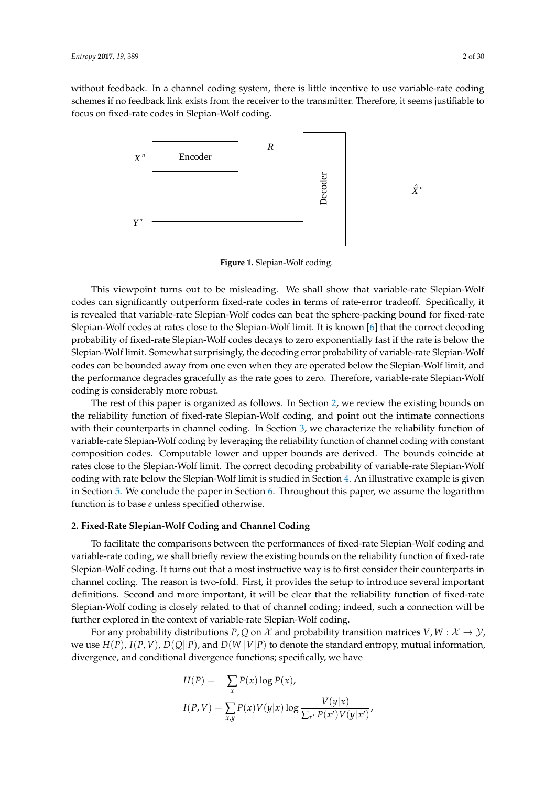<span id="page-1-0"></span>without feedback. In a channel coding system, there is little incentive to use variable-rate coding schemes if no feedback link exists from the receiver to the transmitter. Therefore, it seems justifiable to focus on fixed-rate codes in Slepian-Wolf coding.



**Figure 1.** Slepian-Wolf coding.

This viewpoint turns out to be misleading. We shall show that variable-rate Slepian-Wolf codes can significantly outperform fixed-rate codes in terms of rate-error tradeoff. Specifically, it is revealed that variable-rate Slepian-Wolf codes can beat the sphere-packing bound for fixed-rate Slepian-Wolf codes at rates close to the Slepian-Wolf limit. It is known [\[6\]](#page-29-3) that the correct decoding probability of fixed-rate Slepian-Wolf codes decays to zero exponentially fast if the rate is below the Slepian-Wolf limit. Somewhat surprisingly, the decoding error probability of variable-rate Slepian-Wolf codes can be bounded away from one even when they are operated below the Slepian-Wolf limit, and the performance degrades gracefully as the rate goes to zero. Therefore, variable-rate Slepian-Wolf coding is considerably more robust.

The rest of this paper is organized as follows. In Section [2,](#page-1-1) we review the existing bounds on the reliability function of fixed-rate Slepian-Wolf coding, and point out the intimate connections with their counterparts in channel coding. In Section [3,](#page-9-0) we characterize the reliability function of variable-rate Slepian-Wolf coding by leveraging the reliability function of channel coding with constant composition codes. Computable lower and upper bounds are derived. The bounds coincide at rates close to the Slepian-Wolf limit. The correct decoding probability of variable-rate Slepian-Wolf coding with rate below the Slepian-Wolf limit is studied in Section [4.](#page-19-0) An illustrative example is given in Section [5.](#page-23-0) We conclude the paper in Section [6.](#page-25-0) Throughout this paper, we assume the logarithm function is to base *e* unless specified otherwise.

## <span id="page-1-1"></span>**2. Fixed-Rate Slepian-Wolf Coding and Channel Coding**

To facilitate the comparisons between the performances of fixed-rate Slepian-Wolf coding and variable-rate coding, we shall briefly review the existing bounds on the reliability function of fixed-rate Slepian-Wolf coding. It turns out that a most instructive way is to first consider their counterparts in channel coding. The reason is two-fold. First, it provides the setup to introduce several important definitions. Second and more important, it will be clear that the reliability function of fixed-rate Slepian-Wolf coding is closely related to that of channel coding; indeed, such a connection will be further explored in the context of variable-rate Slepian-Wolf coding.

For any probability distributions *P*, *Q* on  $\mathcal{X}$  and probability transition matrices  $V, W : \mathcal{X} \to \mathcal{Y}$ , we use  $H(P)$ ,  $I(P, V)$ ,  $D(Q||P)$ , and  $D(W||V|P)$  to denote the standard entropy, mutual information, divergence, and conditional divergence functions; specifically, we have

$$
H(P) = -\sum_{x} P(x) \log P(x),
$$
  

$$
I(P, V) = \sum_{x,y} P(x) V(y|x) \log \frac{V(y|x)}{\sum_{x'} P(x') V(y|x')}
$$

,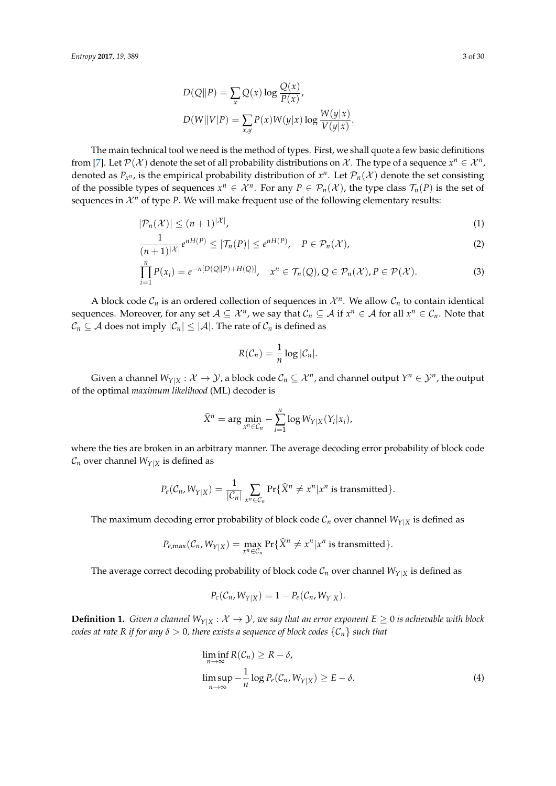$$
D(Q||P) = \sum_{x} Q(x) \log \frac{Q(x)}{P(x)},
$$
  

$$
D(W||V|P) = \sum_{x,y} P(x)W(y|x) \log \frac{W(y|x)}{V(y|x)}.
$$

The main technical tool we need is the method of types. First, we shall quote a few basic definitions from [\[7\]](#page-29-4). Let  $\mathcal{P}(\mathcal{X})$  denote the set of all probability distributions on  $\mathcal{X}$ . The type of a sequence  $x^n \in \mathcal{X}^n$ , denoted as  $P_{x^n}$ , is the empirical probability distribution of  $x^n$ . Let  $\mathcal{P}_n(\mathcal{X})$  denote the set consisting of the possible types of sequences  $x^n \in \mathcal{X}^n$ . For any  $P \in \mathcal{P}_n(\mathcal{X})$ , the type class  $\mathcal{T}_n(P)$  is the set of sequences in  $\mathcal{X}^n$  of type *P*. We will make frequent use of the following elementary results:

$$
|\mathcal{P}_n(\mathcal{X})| \le (n+1)^{|\mathcal{X}|},\tag{1}
$$

$$
\frac{1}{(n+1)|\mathcal{X}|}e^{nH(P)} \leq |\mathcal{T}_n(P)| \leq e^{nH(P)}, \quad P \in \mathcal{P}_n(\mathcal{X}),
$$
\n(2)

$$
\prod_{i=1}^{n} P(x_i) = e^{-n[D(Q||P) + H(Q)]}, \quad x^n \in \mathcal{T}_n(Q), Q \in \mathcal{P}_n(\mathcal{X}), P \in \mathcal{P}(\mathcal{X}).
$$
\n(3)

A block code  $C_n$  is an ordered collection of sequences in  $\mathcal{X}^n$ . We allow  $C_n$  to contain identical sequences. Moreover, for any set  $A \subseteq \mathcal{X}^n$ , we say that  $\mathcal{C}_n \subseteq A$  if  $x^n \in \mathcal{A}$  for all  $x^n \in \mathcal{C}_n$ . Note that  $C_n \subseteq A$  does not imply  $|C_n| \leq |A|$ . The rate of  $C_n$  is defined as

<span id="page-2-3"></span><span id="page-2-2"></span><span id="page-2-1"></span>
$$
R(\mathcal{C}_n)=\frac{1}{n}\log|\mathcal{C}_n|.
$$

Given a channel  $W_{Y|X}: \mathcal{X} \to \mathcal{Y}$ , a block code  $\mathcal{C}_n \subseteq \mathcal{X}^n$ , and channel output  $Y^n \in \mathcal{Y}^n$ , the output of the optimal *maximum likelihood* (ML) decoder is

$$
\widehat{X}^n = \arg\min_{x^n \in C_n} -\sum_{i=1}^n \log W_{Y|X}(Y_i|x_i),
$$

where the ties are broken in an arbitrary manner. The average decoding error probability of block code  $C_n$  over channel  $W_{Y|X}$  is defined as

$$
P_e(C_n, W_{Y|X}) = \frac{1}{|\mathcal{C}_n|} \sum_{x^n \in \mathcal{C}_n} \Pr{\{\widehat{X}^n \neq x^n | x^n \text{ is transmitted}\}}.
$$

The maximum decoding error probability of block code  $C_n$  over channel  $W_{Y|X}$  is defined as

$$
P_{e,\max}(\mathcal{C}_n,W_{Y|X})=\max_{x^n\in\mathcal{C}_n}\Pr{\{\widehat{X}^n\neq x^n|x^n\text{ is transmitted}\}}.
$$

The average correct decoding probability of block code  $C_n$  over channel  $W_{Y|X}$  is defined as

$$
P_c(\mathcal{C}_n, W_{Y|X}) = 1 - P_e(\mathcal{C}_n, W_{Y|X}).
$$

**Definition 1.** *Given a channel*  $W_{Y|X}: \mathcal{X} \to \mathcal{Y}$ *, we say that an error exponent*  $E \ge 0$  *is achievable with block codes at rate R if for any*  $\delta > 0$ , there exists a sequence of block codes  $\{C_n\}$  such that

<span id="page-2-0"></span>
$$
\liminf_{n \to \infty} R(C_n) \ge R - \delta,
$$
  
\n
$$
\limsup_{n \to \infty} -\frac{1}{n} \log P_e(C_n, W_{Y|X}) \ge E - \delta.
$$
\n(4)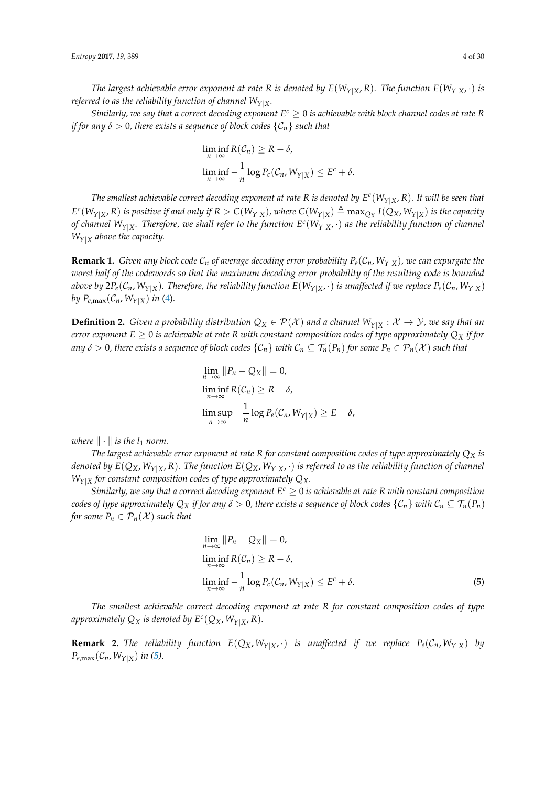*The largest achievable error exponent at rate R is denoted by*  $E(W_{Y|X}, R)$ *. The function*  $E(W_{Y|X}, \cdot)$  *is referred to as the reliability function of channel*  $W_{Y|X}$ *.* 

*Similarly, we say that a correct decoding exponent*  $E^c \geq 0$  *is achievable with block channel codes at rate R if for any*  $\delta > 0$ , there exists a sequence of block codes  $\{C_n\}$  such that

$$
\liminf_{n \to \infty} R(C_n) \ge R - \delta,
$$
  

$$
\liminf_{n \to \infty} -\frac{1}{n} \log P_c(C_n, W_{Y|X}) \le E^c + \delta.
$$

*The smallest achievable correct decoding exponent at rate R is denoted by E c* (*WY*|*X*, *R*)*. It will be seen that*  $E^c(W_{Y|X},R)$  is positive if and only if  $R>C(W_{Y|X})$ , where  $C(W_{Y|X})\triangleq \max_{Q_X}I(Q_X,W_{Y|X})$  is the capacity *of channel WY*|*X. Therefore, we shall refer to the function E c* (*WY*|*X*, ·) *as the reliability function of channel WY*|*<sup>X</sup> above the capacity.*

**Remark 1.** *Given any block code*  $C_n$  *of average decoding error probability*  $P_e(C_n, W_{Y|X})$ *, we can expurgate the worst half of the codewords so that the maximum decoding error probability of the resulting code is bounded* above by  $2P_e(C_n, W_{Y|X})$ . Therefore, the reliability function  $E(W_{Y|X}, \cdot)$  is unaffected if we replace  $P_e(C_n, W_{Y|X})$ *by*  $P_{e,\text{max}}(\mathcal{C}_n, W_{Y|X})$  *in* [\(4\)](#page-2-0).

<span id="page-3-1"></span>**Definition 2.** *Given a probability distribution*  $Q_X \in \mathcal{P}(\mathcal{X})$  *and a channel*  $W_{Y|X} : \mathcal{X} \to \mathcal{Y}$ *, we say that an error exponent*  $E \geq 0$  *is achievable at rate*  $R$  *with constant composition codes of type approximately*  $Q_X$  *if for any*  $\delta > 0$ , there exists a sequence of block codes  $\{C_n\}$  with  $C_n \subseteq \mathcal{T}_n(P_n)$  for some  $P_n \in \mathcal{P}_n(\mathcal{X})$  such that

$$
\lim_{n \to \infty} ||P_n - Q_X|| = 0,
$$
  
\n
$$
\liminf_{n \to \infty} R(C_n) \ge R - \delta,
$$
  
\n
$$
\limsup_{n \to \infty} -\frac{1}{n} \log P_e(C_n, W_{Y|X}) \ge E - \delta,
$$

*where*  $\|\cdot\|$  *is the*  $l_1$  *norm.* 

*The largest achievable error exponent at rate R for constant composition codes of type approximately Q<sup>X</sup> is denoted by*  $E(Q_X, W_{Y|X}, R)$ . The function  $E(Q_X, W_{Y|X}, \cdot)$  is referred to as the reliability function of channel  $W_{Y|X}$  for constant composition codes of type approximately  $Q_X$ .

*Similarly, we say that a correct decoding exponent*  $E^c \geq 0$  *is achievable at rate R with constant composition codes of type approximately*  $Q_X$  *if for any*  $\delta > 0$ , there exists a sequence of block codes  $\{C_n\}$  with  $C_n \subseteq \mathcal{T}_n(P_n)$ *for some*  $P_n \in \mathcal{P}_n(\mathcal{X})$  *such that* 

<span id="page-3-0"></span>
$$
\lim_{n \to \infty} ||P_n - Q_X|| = 0,
$$
  
\n
$$
\liminf_{n \to \infty} R(C_n) \ge R - \delta,
$$
  
\n
$$
\liminf_{n \to \infty} -\frac{1}{n} \log P_c(C_n, W_{Y|X}) \le E^c + \delta.
$$
\n(5)

*The smallest achievable correct decoding exponent at rate R for constant composition codes of type* approximately  $Q_X$  is denoted by  $E^c(Q_X, W_{Y|X}, R)$ .

**Remark 2.** The reliability function  $E(Q_X, W_{Y|X}, \cdot)$  is unaffected if we replace  $P_e(C_n, W_{Y|X})$  by  $P_{e,\text{max}}(\mathcal{C}_n, W_{Y|X})$  *in* [\(5\)](#page-3-0)*.*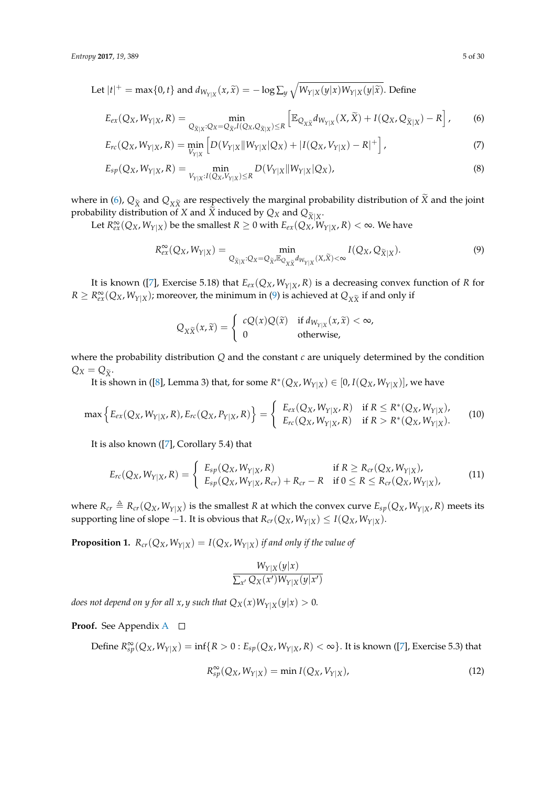Let  $|t|^+$  = max $\{0, t\}$  and  $d_{W_{Y|X}}(x, \widetilde{x}) = -\log \sum_{y} \sqrt{W_{Y|X}(y|x)W_{Y|X}(y|\widetilde{x})}$ . Define

$$
E_{ex}(Q_X, W_{Y|X}, R) = \min_{Q_{\widetilde{X}|X}: Q_X = Q_{\widetilde{X}} \cdot I(Q_X, Q_{\widetilde{X}|X}) \le R} \left[ \mathbb{E}_{Q_{X\widetilde{X}}} d_{W_{Y|X}}(X, \widetilde{X}) + I(Q_X, Q_{\widetilde{X}|X}) - R \right],
$$
 (6)

$$
E_{rc}(Q_X, W_{Y|X}, R) = \min_{V_{Y|X}} \left[ D(V_{Y|X} || W_{Y|X} | Q_X) + |I(Q_X, V_{Y|X}) - R|^+ \right],
$$
\n(7)

$$
E_{sp}(Q_X, W_{Y|X}, R) = \min_{V_{Y|X}: I(Q_X, V_{Y|X}) \le R} D(V_{Y|X} || W_{Y|X} || Q_X),
$$
\n(8)

where in [\(6\)](#page-4-0),  $Q_{\tilde{X}}$  and  $Q_{X\tilde{X}}$  are respectively the marginal probability distribution of  $\tilde{X}$  and the joint probability distribution of *X* and *X* induced by  $Q_X$  and  $Q_{\widetilde{X}|X}$ .

Let  $R_{ex}^{\infty}(Q_X, W_{Y|X})$  be the smallest  $R \ge 0$  with  $E_{ex}(Q_X, W_{Y|X}, R) < \infty$ . We have

<span id="page-4-5"></span><span id="page-4-0"></span>
$$
R_{ex}^{\infty}(Q_X, W_{Y|X}) = \min_{Q_{\widetilde{X}|X}: Q_X = Q_{\widetilde{X}}, \mathbb{E}_{Q_{X\widetilde{X}}} d_{W_{Y|X}}(X, \widetilde{X}) < \infty} I(Q_X, Q_{\widetilde{X}|X}).
$$
\n(9)

It is known ([\[7\]](#page-29-4), Exercise 5.18) that  $E_{ex}(Q_X, W_{Y|X}, R)$  is a decreasing convex function of *R* for  $R \geq R_{ex}^{\infty}(Q_X, W_{Y|X})$ ; moreover, the minimum in [\(9\)](#page-4-1) is achieved at  $Q_{X\widetilde{X}}$  if and only if

<span id="page-4-1"></span>
$$
Q_{X\widetilde{X}}(x,\widetilde{x}) = \begin{cases} cQ(x)Q(\widetilde{x}) & \text{if } d_{W_{Y|X}}(x,\widetilde{x}) < \infty, \\ 0 & \text{otherwise,} \end{cases}
$$

where the probability distribution *Q* and the constant *c* are uniquely determined by the condition  $Q_X = Q_{\tilde{X}}$ .

It is shown in ([\[8\]](#page-29-5), Lemma 3) that, for some  $R^*(Q_X, W_{Y|X}) \in [0, I(Q_X, W_{Y|X})]$ , we have

$$
\max \Big\{ E_{ex}(Q_X, W_{Y|X}, R), E_{rc}(Q_X, P_{Y|X}, R) \Big\} = \begin{cases} E_{ex}(Q_X, W_{Y|X}, R) & \text{if } R \le R^*(Q_X, W_{Y|X}), \\ E_{rc}(Q_X, W_{Y|X}, R) & \text{if } R > R^*(Q_X, W_{Y|X}). \end{cases}
$$
(10)

It is also known ([\[7\]](#page-29-4), Corollary 5.4) that

$$
E_{rc}(Q_X, W_{Y|X}, R) = \begin{cases} E_{sp}(Q_X, W_{Y|X}, R) & \text{if } R \ge R_{cr}(Q_X, W_{Y|X}), \\ E_{sp}(Q_X, W_{Y|X}, R_{cr}) + R_{cr} - R & \text{if } 0 \le R \le R_{cr}(Q_X, W_{Y|X}), \end{cases}
$$
(11)

where  $R_{cr} \triangleq R_{cr}(Q_X, W_{Y|X})$  is the smallest *R* at which the convex curve  $E_{sp}(Q_X, W_{Y|X}, R)$  meets its supporting line of slope −1. It is obvious that  $R_{cr}(Q_X, W_{Y|X}) \leq I(Q_X, W_{Y|X})$ .

<span id="page-4-3"></span>**Proposition 1.**  $R_{cr}(Q_X, W_{Y|X}) = I(Q_X, W_{Y|X})$  *if and only if the value of* 

<span id="page-4-4"></span><span id="page-4-2"></span>
$$
\frac{W_{Y|X}(y|x)}{\sum_{x'} Q_X(x')W_{Y|X}(y|x')}
$$

*does not depend on y for all x, y such that*  $Q_X(x)W_{Y|X}(y|x) > 0$ *.* 

**Proof.** See [A](#page-25-1)ppendix A □

 $\text{Define } R_{sp}^{\infty}(Q_X, W_{Y|X}) = \inf\{R > 0: E_{sp}(Q_X, W_{Y|X}, R) < \infty\}.$  It is known ([\[7\]](#page-29-4), Exercise 5.3) that

$$
R_{sp}^{\infty}(Q_X, W_{Y|X}) = \min I(Q_X, V_{Y|X}), \qquad (12)
$$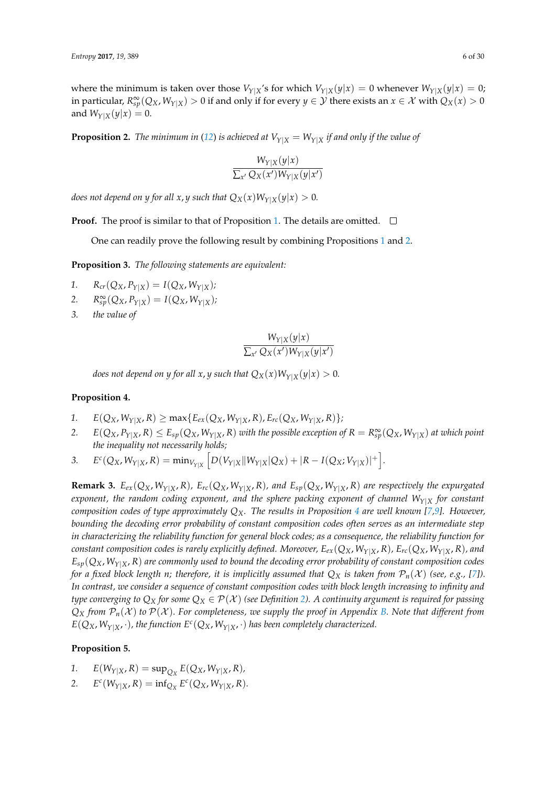where the minimum is taken over those  $V_{Y|X}$ 's for which  $V_{Y|X}(y|x) = 0$  whenever  $W_{Y|X}(y|x) = 0$ ; in particular,  $R^{\infty}_{sp}(Q_X,W_{Y|X})>0$  if and only if for every  $y\in\mathcal{Y}$  there exists an  $x\in\mathcal{X}$  with  $Q_X(x)>0$ and  $W_{Y|X}(y|x) = 0$ .

<span id="page-5-0"></span>**Proposition 2.** *The minimum in* ([12](#page-4-2)) *is achieved at*  $V_{Y|X} = W_{Y|X}$  *if and only if the value of* 

$$
\frac{W_{Y|X}(y|x)}{\sum_{x'} Q_X(x')W_{Y|X}(y|x')}
$$

*does not depend on y for all x, y such that*  $Q_X(x)W_{Y|X}(y|x) > 0$ *.* 

**Proof.** The proof is similar to that of Proposition [1.](#page-4-3) The details are omitted.  $\Box$ 

One can readily prove the following result by combining Propositions [1](#page-4-3) and [2.](#page-5-0)

**Proposition 3.** *The following statements are equivalent:*

- 1.  $R_{cr}(Q_X, P_{Y|X}) = I(Q_X, W_{Y|X});$
- 2.  $R_{sp}^{\infty}(Q_X, P_{Y|X}) = I(Q_X, W_{Y|X});$
- *3. the value of*

$$
\frac{W_{Y|X}(y|x)}{\sum_{x'} Q_X(x')W_{Y|X}(y|x')}
$$

*does not depend on y for all x, y such that*  $Q_X(x)W_{Y|X}(y|x) > 0$ .

## <span id="page-5-1"></span>**Proposition 4.**

- 1.  $E(Q_X, W_{Y|X}, R) \ge \max\{E_{ex}(Q_X, W_{Y|X}, R), E_{rc}(Q_X, W_{Y|X}, R)\};$
- 2.  $E(Q_X, P_{Y|X}, R) \le E_{sp}(Q_X, W_{Y|X}, R)$  with the possible exception of  $R = R^\infty_{sp}(Q_X, W_{Y|X})$  at which point *the inequality not necessarily holds;*
- 3.  $E^c(Q_X, W_{Y|X}, R) = \min_{V_{Y|X}} [D(V_{Y|X} || W_{Y|X} || Q_X) + |R I(Q_X; V_{Y|X})|^+].$

**Remark 3.**  $E_{ex}(Q_X, W_{Y|X}, R)$ ,  $E_{rc}(Q_X, W_{Y|X}, R)$ , and  $E_{sp}(Q_X, W_{Y|X}, R)$  are respectively the expurgated *exponent, the random coding exponent, and the sphere packing exponent of channel*  $W_{Y|X}$  *for constant composition codes of type approximately QX. The results in Proposition [4](#page-5-1) are well known [\[7](#page-29-4)[,9\]](#page-29-6). However, bounding the decoding error probability of constant composition codes often serves as an intermediate step in characterizing the reliability function for general block codes; as a consequence, the reliability function for* constant composition codes is rarely explicitly defined. Moreover,  $E_{ex}(Q_X, W_{Y|X}, R)$ ,  $E_{rc}(Q_X, W_{Y|X}, R)$ , and  $E_{sp}(Q_X, W_{Y|X}, R)$  are commonly used to bound the decoding error probability of constant composition codes *for a fixed block length n; therefore, it is implicitly assumed that*  $Q_X$  *is taken from*  $\mathcal{P}_n(\mathcal{X})$  (see, e.g., [\[7\]](#page-29-4)). *In contrast, we consider a sequence of constant composition codes with block length increasing to infinity and type converging to*  $Q_X$  *for some*  $Q_X \in \mathcal{P}(\mathcal{X})$  *(see Definition [2\)](#page-3-1). A continuity argument is required for passing*  $Q_X$  *from*  $P_n(X)$  *to*  $P(X)$ *. For completeness, we supply the proof in Appendix [B.](#page-26-0) Note that different from*  $E(Q_X, W_{Y|X}, \cdot)$  *, the function*  $E^c(Q_X, W_{Y|X}, \cdot)$  *has been completely characterized.* 

## <span id="page-5-2"></span>**Proposition 5.**

- 1.  $E(W_{Y|X}, R) = \sup_{Q_X} E(Q_X, W_{Y|X}, R)$
- 2.  $E^c(W_{Y|X}, R) = \inf_{Q_X} E^c(Q_X, W_{Y|X}, R).$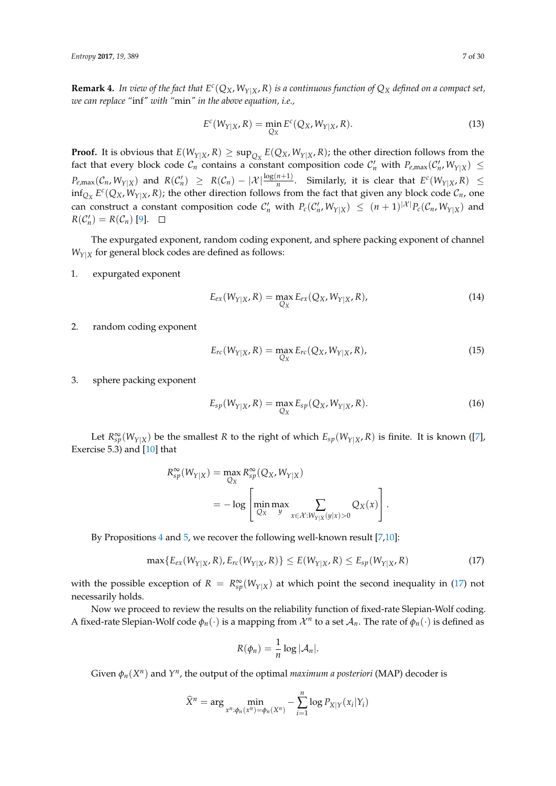**Remark 4.** In view of the fact that  $E^c(Q_X, W_{Y|X}, R)$  is a continuous function of  $Q_X$  defined on a compact set, *we can replace "*inf*" with "*min*" in the above equation, i.e.,*

<span id="page-6-4"></span>
$$
E^{c}(W_{Y|X}, R) = \min_{Q_X} E^{c}(Q_X, W_{Y|X}, R). \tag{13}
$$

**Proof.** It is obvious that  $E(W_{Y|X}, R) \ge \sup_{Q_X} E(Q_X, W_{Y|X}, R)$ ; the other direction follows from the fact that every block code  $C_n$  contains a constant composition code  $C'_n$  with  $P_{e,\max}(C'_n,W_{Y|X}) \leq$  $P_{e,\max}(\mathcal{C}_n,W_{Y|X})$  and  $R(\mathcal{C}'_n) \geq R(\mathcal{C}_n)-|\mathcal{X}| \frac{\log(n+1)}{n}$ . Similarly, it is clear that  $E^c(W_{Y|X},R) \leq$  $\inf_{Q_X} E^c(Q_X, W_{Y|X}, R)$ ; the other direction follows from the fact that given any block code  $C_n$ , one can construct a constant composition code  $C'_n$  with  $P_c(C'_n, W_{Y|X}) \leq (n+1)^{|X|}P_c(C_n, W_{Y|X})$  and  $R(\mathcal{C}'_n) = R(\mathcal{C}_n)$  [\[9\]](#page-29-6).

The expurgated exponent, random coding exponent, and sphere packing exponent of channel  $W_{Y|X}$  for general block codes are defined as follows:

1. expurgated exponent

<span id="page-6-1"></span>
$$
E_{ex}(W_{Y|X}, R) = \max_{Q_X} E_{ex}(Q_X, W_{Y|X}, R),
$$
\n(14)

2. random coding exponent

<span id="page-6-2"></span>
$$
E_{rc}(W_{Y|X}, R) = \max_{Q_X} E_{rc}(Q_X, W_{Y|X}, R),
$$
\n(15)

3. sphere packing exponent

<span id="page-6-3"></span>
$$
E_{sp}(W_{Y|X}, R) = \max_{Q_X} E_{sp}(Q_X, W_{Y|X}, R).
$$
 (16)

Let  $R_{sp}^{\infty}(W_{Y|X})$  be the smallest *R* to the right of which  $E_{sp}(W_{Y|X}, R)$  is finite. It is known ([\[7\]](#page-29-4), Exercise 5.3) and [\[10\]](#page-29-7) that

$$
R_{sp}^{\infty}(W_{Y|X}) = \max_{Q_X} R_{sp}^{\infty}(Q_X, W_{Y|X})
$$
  
= 
$$
- \log \left[ \min_{Q_X} \max_{y} \sum_{x \in \mathcal{X}: W_{Y|X}(y|x) > 0} Q_X(x) \right].
$$

By Propositions [4](#page-5-1) and [5,](#page-5-2) we recover the following well-known result [\[7](#page-29-4)[,10\]](#page-29-7):

$$
\max\{E_{ex}(W_{Y|X}, R), E_{rc}(W_{Y|X}, R)\} \le E(W_{Y|X}, R) \le E_{sp}(W_{Y|X}, R) \tag{17}
$$

with the possible exception of  $R = R_{sp}^{\infty}(W_{Y|X})$  at which point the second inequality in [\(17\)](#page-6-0) not necessarily holds.

Now we proceed to review the results on the reliability function of fixed-rate Slepian-Wolf coding. A fixed-rate Slepian-Wolf code  $\phi_n(\cdot)$  is a mapping from  $\mathcal{X}^n$  to a set  $\mathcal{A}_n$ . The rate of  $\phi_n(\cdot)$  is defined as

<span id="page-6-0"></span>
$$
R(\phi_n)=\frac{1}{n}\log |\mathcal{A}_n|.
$$

Given  $\phi_n(X^n)$  and  $Y^n$ , the output of the optimal *maximum a posteriori* (MAP) decoder is

$$
\widehat{X}^n = \arg \min_{x^n : \phi_n(x^n) = \phi_n(X^n)} - \sum_{i=1}^n \log P_{X|Y}(x_i|Y_i)
$$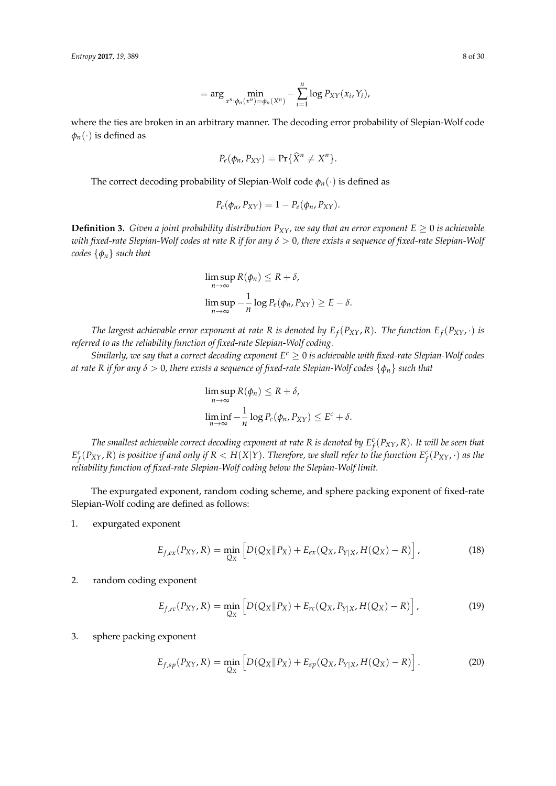$$
= \arg \min_{x^n : \phi_n(x^n) = \phi_n(X^n)} - \sum_{i=1}^n \log P_{XY}(x_i, Y_i),
$$

where the ties are broken in an arbitrary manner. The decoding error probability of Slepian-Wolf code  $\phi_n(\cdot)$  is defined as

$$
P_e(\phi_n, P_{XY}) = \Pr{\{\hat{X}^n \neq X^n\}}.
$$

The correct decoding probability of Slepian-Wolf code *φn*(·) is defined as

$$
P_c(\phi_n, P_{XY}) = 1 - P_e(\phi_n, P_{XY}).
$$

**Definition 3.** *Given a joint probability distribution*  $P_{XY}$ *, we say that an error exponent*  $E \ge 0$  *is achievable with fixed-rate Slepian-Wolf codes at rate R if for any δ* > 0*, there exists a sequence of fixed-rate Slepian-Wolf codes* {*φn*} *such that*

$$
\limsup_{n \to \infty} R(\phi_n) \le R + \delta,
$$
  

$$
\limsup_{n \to \infty} -\frac{1}{n} \log P_e(\phi_n, P_{XY}) \ge E - \delta.
$$

*The largest achievable error exponent at rate R is denoted by*  $E_f(P_{XY}, R)$ *<i>. The function*  $E_f(P_{XY}, \cdot)$  *is referred to as the reliability function of fixed-rate Slepian-Wolf coding.*

*Similarly, we say that a correct decoding exponent*  $E^c \geq 0$  *is achievable with fixed-rate Slepian-Wolf codes at rate R if for any δ* > 0*, there exists a sequence of fixed-rate Slepian-Wolf codes* {*φn*} *such that*

<span id="page-7-0"></span>
$$
\limsup_{n \to \infty} R(\phi_n) \le R + \delta,
$$
  

$$
\liminf_{n \to \infty} -\frac{1}{n} \log P_c(\phi_n, P_{XY}) \le E^c + \delta.
$$

*The smallest achievable correct decoding exponent at rate R is denoted by E c f* (*PXY*, *R*)*. It will be seen that*  $E_f^c(P_{XY},R)$  is positive if and only if  $R < H(X|Y).$  Therefore, we shall refer to the function  $E_f^c(P_{XY},\cdot)$  as the *reliability function of fixed-rate Slepian-Wolf coding below the Slepian-Wolf limit.*

The expurgated exponent, random coding scheme, and sphere packing exponent of fixed-rate Slepian-Wolf coding are defined as follows:

1. expurgated exponent

$$
E_{f,ex}(P_{XY},R) = \min_{Q_X} \left[ D(Q_X \| P_X) + E_{ex}(Q_X, P_{Y|X}, H(Q_X) - R) \right],
$$
 (18)

## 2. random coding exponent

<span id="page-7-1"></span>
$$
E_{f,rc}(P_{XY},R) = \min_{Q_X} \left[ D(Q_X || P_X) + E_{rc}(Q_X, P_{Y|X}, H(Q_X) - R) \right],
$$
 (19)

#### 3. sphere packing exponent

<span id="page-7-2"></span>
$$
E_{f,sp}(P_{XY},R) = \min_{Q_X} \left[ D(Q_X \| P_X) + E_{sp}(Q_X, P_{Y|X}, H(Q_X) - R) \right].
$$
 (20)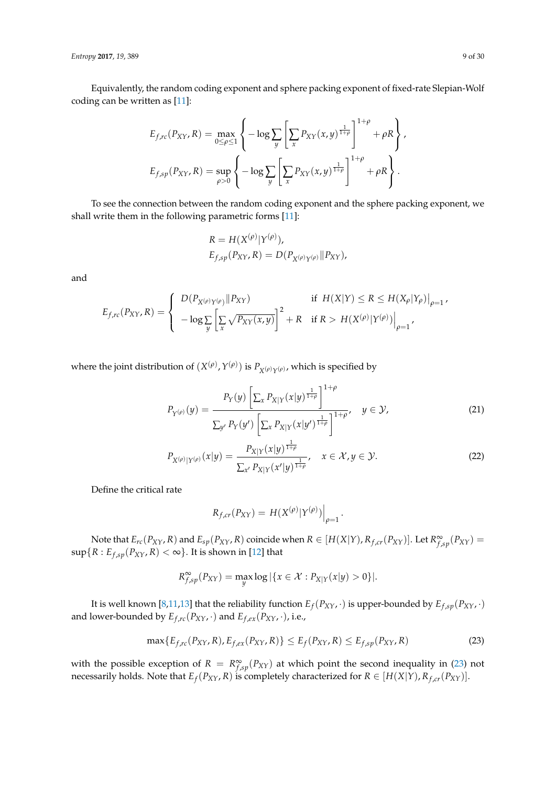*Entropy* **2017**, *19*, 389 9 of 30

Equivalently, the random coding exponent and sphere packing exponent of fixed-rate Slepian-Wolf coding can be written as [\[11\]](#page-29-8):

$$
E_{f,rc}(P_{XY}, R) = \max_{0 \le \rho \le 1} \left\{ -\log \sum_{y} \left[ \sum_{x} P_{XY}(x, y)^{\frac{1}{1+\rho}} \right]^{1+\rho} + \rho R \right\},
$$
  

$$
E_{f,sp}(P_{XY}, R) = \sup_{\rho > 0} \left\{ -\log \sum_{y} \left[ \sum_{x} P_{XY}(x, y)^{\frac{1}{1+\rho}} \right]^{1+\rho} + \rho R \right\}.
$$

To see the connection between the random coding exponent and the sphere packing exponent, we shall write them in the following parametric forms [\[11\]](#page-29-8):

$$
R = H(X^{(\rho)}|Y^{(\rho)}),
$$
  
\n
$$
E_{f,sp}(P_{XY}, R) = D(P_{X^{(\rho)}Y^{(\rho)}}||P_{XY}),
$$

(*ρ*)

and

$$
E_{f,rc}(P_{XY},R) = \begin{cases} D(P_{X^{(\rho)}Y^{(\rho)}}||P_{XY}) & \text{if } H(X|Y) \le R \le H(X_{\rho}|Y_{\rho})\big|_{\rho=1},\\ -\log \sum_{y} \left[\sum_{x} \sqrt{P_{XY}(x,y)}\right]^{2} + R & \text{if } R > H(X^{(\rho)}|Y^{(\rho)})\big|_{\rho=1}, \end{cases}
$$

where the joint distribution of  $(X^{(\rho)}, Y^{(\rho)})$  is  $P_{X^{(\rho)}Y^{(\rho)}}$ , which is specified by

$$
P_{Y^{(\rho)}}(y) = \frac{P_Y(y) \left[ \sum_x P_{X|Y}(x|y)^{\frac{1}{1+\rho}} \right]^{1+\rho}}{\sum_{y'} P_Y(y') \left[ \sum_x P_{X|Y}(x|y')^{\frac{1}{1+\rho}} \right]^{1+\rho}}, \quad y \in \mathcal{Y},
$$
\n(21)

$$
P_{X^{(\rho)}|Y^{(\rho)}}(x|y) = \frac{P_{X|Y}(x|y)^{\frac{1}{1+\rho}}}{\sum_{x'} P_{X|Y}(x'|y)^{\frac{1}{1+\rho}}}, \quad x \in \mathcal{X}, y \in \mathcal{Y}.
$$
 (22)

<span id="page-8-2"></span><span id="page-8-1"></span><span id="page-8-0"></span>.

Define the critical rate

$$
R_{f,cr}(P_{XY}) = H(X^{(\rho)}|Y^{(\rho)})\Big|_{\rho=1}
$$

Note that  $E_{rc}(P_{XY},R)$  and  $E_{sp}(P_{XY},R)$  coincide when  $R \in [H(X|Y),R_{f,cr}(P_{XY})]$ . Let  $R^{\infty}_{f,sp}(P_{XY})$  $\sup\{R: E_{f,sp}(P_{XY}, R) < \infty\}$ . It is shown in [\[12\]](#page-29-9) that

$$
R^{\infty}_{f,sp}(P_{XY}) = \max_{y} \log |\{x \in \mathcal{X} : P_{X|Y}(x|y) > 0\}|.
$$

It is well known [\[8](#page-29-5)[,11](#page-29-8)[,13\]](#page-29-10) that the reliability function  $E_f(P_{XY},\cdot)$  is upper-bounded by  $E_{f,sp}(P_{XY},\cdot)$ and lower-bounded by  $E_{f,rc}(P_{XY},\cdot)$  and  $E_{f,ex}(P_{XY},\cdot)$ , i.e.,

$$
\max\{E_{f,rc}(P_{XY},R), E_{f,ex}(P_{XY},R)\} \le E_f(P_{XY},R) \le E_{f,sp}(P_{XY},R)
$$
\n(23)

with the possible exception of  $R = R^{\infty}_{f,sp}(P_{XY})$  at which point the second inequality in [\(23\)](#page-8-0) not necessarily holds. Note that  $E_f(P_{XY}, R)$  is completely characterized for  $R \in [H(X|Y), R_{f,cr}(P_{XY})]$ .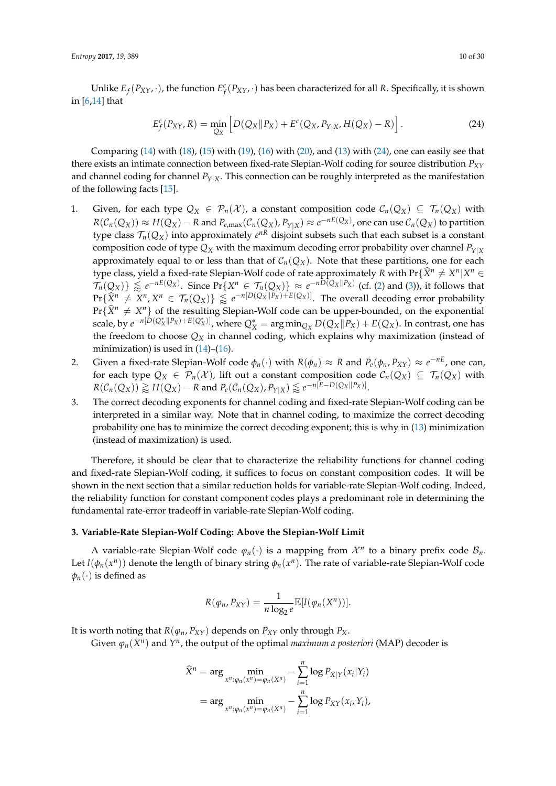Unlike  $E_f(P_{XY},\cdot)$ , the function  $E_f^c(P_{XY},\cdot)$  has been characterized for all *R*. Specifically, it is shown in [\[6,](#page-29-3)[14\]](#page-29-11) that

<span id="page-9-1"></span>
$$
E_f^c(P_{XY}, R) = \min_{Q_X} \left[ D(Q_X \| P_X) + E^c(Q_X, P_{Y|X}, H(Q_X) - R) \right].
$$
 (24)

Comparing  $(14)$  with  $(18)$ ,  $(15)$  with  $(19)$ ,  $(16)$  with  $(20)$ , and  $(13)$  with  $(24)$ , one can easily see that there exists an intimate connection between fixed-rate Slepian-Wolf coding for source distribution *PXY* and channel coding for channel  $P_{Y|X}$ . This connection can be roughly interpreted as the manifestation of the following facts [\[15\]](#page-29-12).

- 1. Given, for each type  $Q_X \in \mathcal{P}_n(\mathcal{X})$ , a constant composition code  $\mathcal{C}_n(Q_X) \subseteq \mathcal{T}_n(Q_X)$  with  $R(\mathcal{C}_n(Q_X))\approx H(Q_X)-R$  and  $P_{e,\max}(\mathcal{C}_n(Q_X),P_{Y|X})\approx e^{-nE(Q_X)}$ , one can use  $\mathcal{C}_n(Q_X)$  to partition type class  $\mathcal{T}_n(Q_X)$  into approximately  $e^{nR}$  disjoint subsets such that each subset is a constant composition code of type  $Q_X$  with the maximum decoding error probability over channel  $P_{Y|X}$ approximately equal to or less than that of  $C_n(Q_X)$ . Note that these partitions, one for each type class, yield a fixed-rate Slepian-Wolf code of rate approximately *R* with Pr{ $\hat{X}^n \neq X^n | X^n \in$  $\mathcal{T}_n(Q_X)$   $\geq e^{-nE(Q_X)}$ . Since Pr{*X<sup>n</sup>*  $\in \mathcal{T}_n(Q_X)$   $\geq e^{-nD(Q_X||P_X)}$  (cf. [\(2\)](#page-2-1) and [\(3\)](#page-2-2)), it follows that  $\Pr{\{\hat{X}^n \neq X^n, X^n \in \mathcal{T}_n(Q_X)\}} \lessapprox e^{-n[D(Q_X||P_X)+E(Q_X)]}$ . The overall decoding error probability  $Pr{\{\hat{X}^n \neq X^n\}}$  of the resulting Slepian-Wolf code can be upper-bounded, on the exponential scale, by  $e^{-n[D(Q_X^*||P_X)+E(Q_X^*)]}$ , where  $Q_X^* = \arg\min_{Q_X} D(Q_X||P_X) + E(Q_X)$ . In contrast, one has the freedom to choose *Q<sup>X</sup>* in channel coding, which explains why maximization (instead of minimization) is used in  $(14)$ – $(16)$ .
- 2. Given a fixed-rate Slepian-Wolf code  $\phi_n(\cdot)$  with  $R(\phi_n) \approx R$  and  $P_e(\phi_n, P_{XY}) \approx e^{-nE}$ , one can, for each type  $Q_X \in \mathcal{P}_n(\mathcal{X})$ , lift out a constant composition code  $\mathcal{C}_n(Q_X) \subseteq \mathcal{T}_n(Q_X)$  with  $R(\mathcal{C}_n(Q_X)) \gtrapprox H(Q_X) - R$  and  $P_e(\mathcal{C}_n(Q_X), P_{Y|X}) \lessapprox e^{-n[E-D(Q_X||P_X)]}$ .
- 3. The correct decoding exponents for channel coding and fixed-rate Slepian-Wolf coding can be interpreted in a similar way. Note that in channel coding, to maximize the correct decoding probability one has to minimize the correct decoding exponent; this is why in [\(13\)](#page-6-4) minimization (instead of maximization) is used.

Therefore, it should be clear that to characterize the reliability functions for channel coding and fixed-rate Slepian-Wolf coding, it suffices to focus on constant composition codes. It will be shown in the next section that a similar reduction holds for variable-rate Slepian-Wolf coding. Indeed, the reliability function for constant component codes plays a predominant role in determining the fundamental rate-error tradeoff in variable-rate Slepian-Wolf coding.

#### <span id="page-9-0"></span>**3. Variable-Rate Slepian-Wolf Coding: Above the Slepian-Wolf Limit**

A variable-rate Slepian-Wolf code  $\varphi_n(\cdot)$  is a mapping from  $\mathcal{X}^n$  to a binary prefix code  $\mathcal{B}_n$ . Let  $l(\phi_n(x^n))$  denote the length of binary string  $\phi_n(x^n)$ . The rate of variable-rate Slepian-Wolf code  $\phi_n(\cdot)$  is defined as

$$
R(\varphi_n, P_{XY}) = \frac{1}{n \log_2 e} \mathbb{E}[l(\varphi_n(X^n))].
$$

It is worth noting that  $R(\varphi_n, P_{XY})$  depends on  $P_{XY}$  only through  $P_X$ .

Given  $\varphi_n(X^n)$  and  $Y^n$ , the output of the optimal *maximum a posteriori* (MAP) decoder is

$$
\widehat{X}^n = \arg \min_{x^n : \varphi_n(x^n) = \varphi_n(X^n)} - \sum_{i=1}^n \log P_{X|Y}(x_i|Y_i)
$$

$$
= \arg \min_{x^n : \varphi_n(x^n) = \varphi_n(X^n)} - \sum_{i=1}^n \log P_{XY}(x_i, Y_i),
$$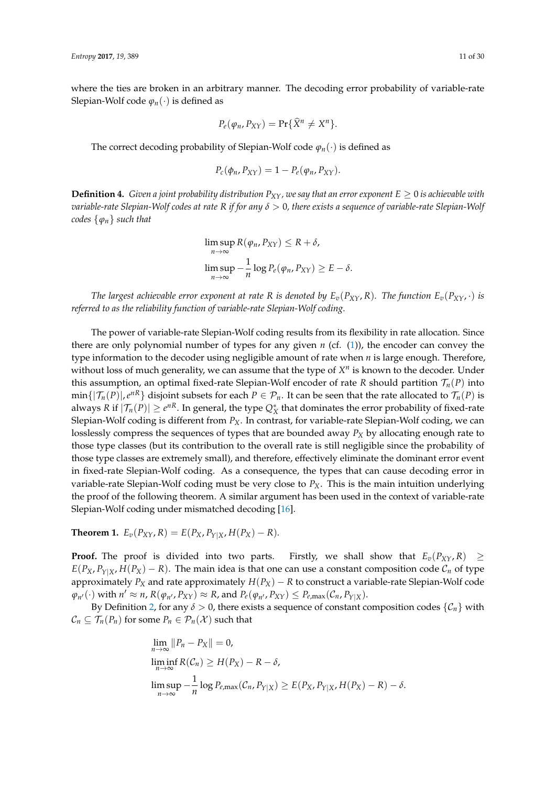where the ties are broken in an arbitrary manner. The decoding error probability of variable-rate Slepian-Wolf code  $\varphi_n(\cdot)$  is defined as

$$
P_e(\varphi_n, P_{XY}) = \Pr{\{\hat{X}^n \neq X^n\}}.
$$

The correct decoding probability of Slepian-Wolf code *ϕn*(·) is defined as

$$
P_c(\phi_n, P_{XY}) = 1 - P_e(\phi_n, P_{XY}).
$$

<span id="page-10-0"></span>**Definition 4.** *Given a joint probability distribution*  $P_{XY}$ *, we say that an error exponent*  $E \ge 0$  *is achievable with variable-rate Slepian-Wolf codes at rate R if for any δ* > 0*, there exists a sequence of variable-rate Slepian-Wolf codes* {*ϕn*} *such that*

$$
\limsup_{n \to \infty} R(\varphi_n, P_{XY}) \le R + \delta,
$$
  

$$
\limsup_{n \to \infty} -\frac{1}{n} \log P_e(\varphi_n, P_{XY}) \ge E - \delta.
$$

*The largest achievable error exponent at rate R is denoted by*  $E_v(P_{XY}, R)$ *. The function*  $E_v(P_{XY}, \cdot)$  *is referred to as the reliability function of variable-rate Slepian-Wolf coding.*

The power of variable-rate Slepian-Wolf coding results from its flexibility in rate allocation. Since there are only polynomial number of types for any given  $n$  (cf.  $(1)$ ), the encoder can convey the type information to the decoder using negligible amount of rate when *n* is large enough. Therefore, without loss of much generality, we can assume that the type of  $X^n$  is known to the decoder. Under this assumption, an optimal fixed-rate Slepian-Wolf encoder of rate *R* should partition  $\mathcal{T}_n(P)$  into  $\min\{|\mathcal{T}_n(P)|, e^{nR}\}$  disjoint subsets for each  $P\in\mathcal{P}_n.$  It can be seen that the rate allocated to  $\mathcal{T}_n(P)$  is always *R* if  $|\mathcal{T}_n(P)| \ge e^{nR}$ . In general, the type  $Q^*_X$  that dominates the error probability of fixed-rate Slepian-Wolf coding is different from *PX*. In contrast, for variable-rate Slepian-Wolf coding, we can losslessly compress the sequences of types that are bounded away *P<sup>X</sup>* by allocating enough rate to those type classes (but its contribution to the overall rate is still negligible since the probability of those type classes are extremely small), and therefore, effectively eliminate the dominant error event in fixed-rate Slepian-Wolf coding. As a consequence, the types that can cause decoding error in variable-rate Slepian-Wolf coding must be very close to *PX*. This is the main intuition underlying the proof of the following theorem. A similar argument has been used in the context of variable-rate Slepian-Wolf coding under mismatched decoding [\[16\]](#page-29-13).

<span id="page-10-1"></span>**Theorem 1.**  $E_v(P_{XY}, R) = E(P_X, P_{Y|X}, H(P_X) - R)$ .

**Proof.** The proof is divided into two parts. Firstly, we shall show that  $E_v(P_{XY}, R) \geq$  $E(P_X, P_{Y|X}, H(P_X) - R)$ . The main idea is that one can use a constant composition code  $C_n$  of type approximately  $P_X$  and rate approximately  $H(P_X) - R$  to construct a variable-rate Slepian-Wolf code  $\varphi_{n'}(\cdot)$  with  $n' \approx n$ ,  $R(\varphi_{n'}, P_{XY}) \approx R$ , and  $P_e(\varphi_{n'}, P_{XY}) \le P_{e, \max}(\mathcal{C}_n, P_{Y|X})$ .

By Definition [2,](#page-3-1) for any  $\delta > 0$ , there exists a sequence of constant composition codes  $\{C_n\}$  with  $C_n \subseteq \mathcal{T}_n(P_n)$  for some  $P_n \in \mathcal{P}_n(\mathcal{X})$  such that

$$
\lim_{n \to \infty} ||P_n - P_X|| = 0,
$$
  
\n
$$
\liminf_{n \to \infty} R(C_n) \ge H(P_X) - R - \delta,
$$
  
\n
$$
\limsup_{n \to \infty} -\frac{1}{n} \log P_{e,\max}(C_n, P_{Y|X}) \ge E(P_X, P_{Y|X}, H(P_X) - R) - \delta.
$$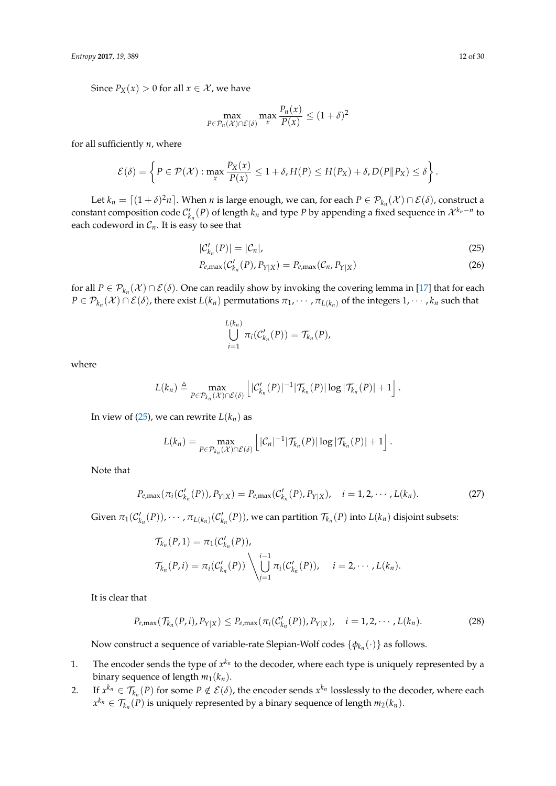Since  $P_X(x) > 0$  for all  $x \in \mathcal{X}$ , we have

$$
\max_{P \in \mathcal{P}_n(\mathcal{X}) \cap \mathcal{E}(\delta)} \max_{x} \frac{P_n(x)}{P(x)} \le (1+\delta)^2
$$

for all sufficiently *n*, where

$$
\mathcal{E}(\delta) = \left\{ P \in \mathcal{P}(\mathcal{X}) : \max_{x} \frac{P_X(x)}{P(x)} \leq 1 + \delta, H(P) \leq H(P_X) + \delta, D(P||P_X) \leq \delta \right\}.
$$

Let  $k_n = \lceil (1 + \delta)^2 n \rceil$ . When *n* is large enough, we can, for each  $P \in \mathcal{P}_{k_n}(\mathcal{X}) \cap \mathcal{E}(\delta)$ , construct a constant composition code  $C'_{k_n}(P)$  of length  $k_n$  and type  $P$  by appending a fixed sequence in  $\mathcal{X}^{k_n-n}$  to each codeword in  $C_n$ . It is easy to see that

$$
|\mathcal{C}_{k_n}'(P)| = |\mathcal{C}_n|,
$$
  
\n
$$
P_{e,\max}(\mathcal{C}_{k_n}'(P), P_{Y|X}) = P_{e,\max}(\mathcal{C}_n, P_{Y|X})
$$
\n(26)

for all  $P \in \mathcal{P}_{k_n}(\mathcal{X}) \cap \mathcal{E}(\delta)$ . One can readily show by invoking the covering lemma in [\[17\]](#page-29-14) that for each  $P \in \mathcal{P}_{k_n}(\mathcal{X}) \cap \mathcal{E}(\delta)$ , there exist  $L(k_n)$  permutations  $\pi_1, \cdots, \pi_{L(k_n)}$  of the integers  $1, \cdots, k_n$  such that

<span id="page-11-1"></span><span id="page-11-0"></span>
$$
\bigcup_{i=1}^{L(k_n)} \pi_i(C'_{k_n}(P)) = \mathcal{T}_{k_n}(P),
$$

where

$$
L(k_n) \triangleq \max_{P \in \mathcal{P}_{k_n}(X) \cap \mathcal{E}(\delta)} \left[ |\mathcal{C}_{k_n}'(P)|^{-1} |\mathcal{T}_{k_n}(P)| \log |\mathcal{T}_{k_n}(P)| + 1 \right].
$$

In view of  $(25)$ , we can rewrite  $L(k_n)$  as

$$
L(k_n) = \max_{P \in \mathcal{P}_{k_n}(X) \cap \mathcal{E}(\delta)} \left[ |\mathcal{C}_n|^{-1} |\mathcal{T}_{k_n}(P)| \log |\mathcal{T}_{k_n}(P)| + 1 \right].
$$

Note that

$$
P_{e,\max}(\pi_i(\mathcal{C}_{k_n}'(P)), P_{Y|X}) = P_{e,\max}(\mathcal{C}_{k_n}'(P), P_{Y|X}), \quad i = 1, 2, \cdots, L(k_n).
$$
 (27)

Given  $\pi_1(C'_{k_n}(P))$ ,  $\dots$  ,  $\pi_{L(k_n)}(C'_{k_n}(P))$ , we can partition  $\mathcal{T}_{k_n}(P)$  into  $L(k_n)$  disjoint subsets:

<span id="page-11-2"></span>
$$
\mathcal{T}_{k_n}(P,1) = \pi_1(\mathcal{C}'_{k_n}(P)),
$$
\n
$$
\mathcal{T}_{k_n}(P,i) = \pi_i(\mathcal{C}'_{k_n}(P)) \setminus \bigcup_{j=1}^{i-1} \pi_i(\mathcal{C}'_{k_n}(P)), \quad i = 2, \cdots, L(k_n).
$$

It is clear that

$$
P_{e,\max}(\mathcal{T}_{k_n}(P,i), P_{Y|X}) \le P_{e,\max}(\pi_i(\mathcal{C}'_{k_n}(P)), P_{Y|X}), \quad i = 1, 2, \cdots, L(k_n).
$$
 (28)

Now construct a sequence of variable-rate Slepian-Wolf codes {*φk<sup>n</sup>* (·)} as follows.

- 1. The encoder sends the type of  $x^{k_n}$  to the decoder, where each type is uniquely represented by a binary sequence of length  $m_1(k_n)$ .
- 2. If  $x^{k_n} \in \mathcal{T}_{k_n}(P)$  for some  $P \notin \mathcal{E}(\delta)$ , the encoder sends  $x^{k_n}$  losslessly to the decoder, where each  $x^{k_n} \in \mathcal{T}_{k_n}(P)$  is uniquely represented by a binary sequence of length  $m_2(k_n)$ .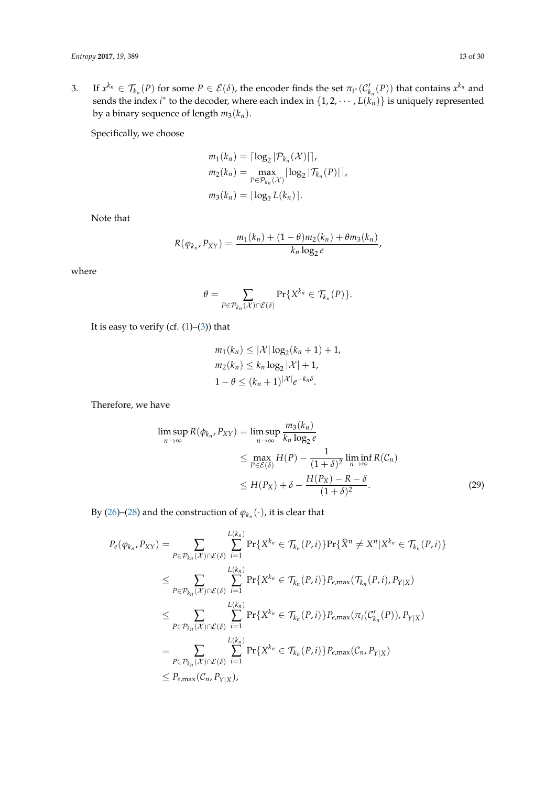3. If  $x^{k_n} \in \mathcal{T}_{k_n}(P)$  for some  $P \in \mathcal{E}(\delta)$ , the encoder finds the set  $\pi_{i^*}(\mathcal{C}'_{k_n}(P))$  that contains  $x^{k_n}$  and sends the index *i*<sup>\*</sup> to the decoder, where each index in  $\{1, 2, \cdots, L(\hat{k_n})\}$  is uniquely represented by a binary sequence of length  $m_3(k_n)$ .

Specifically, we choose

$$
m_1(k_n) = \lceil \log_2 |\mathcal{P}_{k_n}(\mathcal{X})| \rceil,
$$
  
\n
$$
m_2(k_n) = \max_{P \in \mathcal{P}_{k_n}(\mathcal{X})} \lceil \log_2 |\mathcal{T}_{k_n}(P)| \rceil,
$$
  
\n
$$
m_3(k_n) = \lceil \log_2 L(k_n) \rceil.
$$

Note that

$$
R(\varphi_{k_n}, P_{XY}) = \frac{m_1(k_n) + (1-\theta)m_2(k_n) + \theta m_3(k_n)}{k_n \log_2 e},
$$

where

$$
\theta = \sum_{P \in \mathcal{P}_{k_n}(\mathcal{X}) \cap \mathcal{E}(\delta)} \Pr\{X^{k_n} \in \mathcal{T}_{k_n}(P)\}.
$$

It is easy to verify (cf.  $(1)$ – $(3)$ ) that

<span id="page-12-0"></span>
$$
m_1(k_n) \leq |\mathcal{X}| \log_2(k_n + 1) + 1,
$$
  
\n
$$
m_2(k_n) \leq k_n \log_2 |\mathcal{X}| + 1,
$$
  
\n
$$
1 - \theta \leq (k_n + 1)^{|\mathcal{X}|} e^{-k_n \delta}.
$$

Therefore, we have

$$
\limsup_{n \to \infty} R(\phi_{k_n}, P_{XY}) = \limsup_{n \to \infty} \frac{m_3(k_n)}{k_n \log_2 e}
$$
  
\n
$$
\leq \max_{P \in \mathcal{E}(\delta)} H(P) - \frac{1}{(1+\delta)^2} \liminf_{n \to \infty} R(C_n)
$$
  
\n
$$
\leq H(P_X) + \delta - \frac{H(P_X) - R - \delta}{(1+\delta)^2}.
$$
 (29)

By [\(26\)](#page-11-1)–[\(28\)](#page-11-2) and the construction of  $\varphi_{k_n}(\cdot)$ , it is clear that

$$
P_e(\varphi_{k_n}, P_{XY}) = \sum_{P \in \mathcal{P}_{k_n}(X) \cap \mathcal{E}(\delta)} \sum_{i=1}^{L(k_n)} \Pr\{X^{k_n} \in \mathcal{T}_{k_n}(P, i)\} \Pr\{\hat{X}^n \neq X^n | X^{k_n} \in \mathcal{T}_{k_n}(P, i)\}
$$
  
\n
$$
\leq \sum_{P \in \mathcal{P}_{k_n}(X) \cap \mathcal{E}(\delta)} \sum_{i=1}^{L(k_n)} \Pr\{X^{k_n} \in \mathcal{T}_{k_n}(P, i)\} P_{e,\max}(\mathcal{T}_{k_n}(P, i), P_{Y|X})
$$
  
\n
$$
\leq \sum_{P \in \mathcal{P}_{k_n}(X) \cap \mathcal{E}(\delta)} \sum_{i=1}^{L(k_n)} \Pr\{X^{k_n} \in \mathcal{T}_{k_n}(P, i)\} P_{e,\max}(\pi_i(C'_{k_n}(P)), P_{Y|X})
$$
  
\n
$$
= \sum_{P \in \mathcal{P}_{k_n}(X) \cap \mathcal{E}(\delta)} \sum_{i=1}^{L(k_n)} \Pr\{X^{k_n} \in \mathcal{T}_{k_n}(P, i)\} P_{e,\max}(C_n, P_{Y|X})
$$
  
\n
$$
\leq P_{e,\max}(C_n, P_{Y|X}),
$$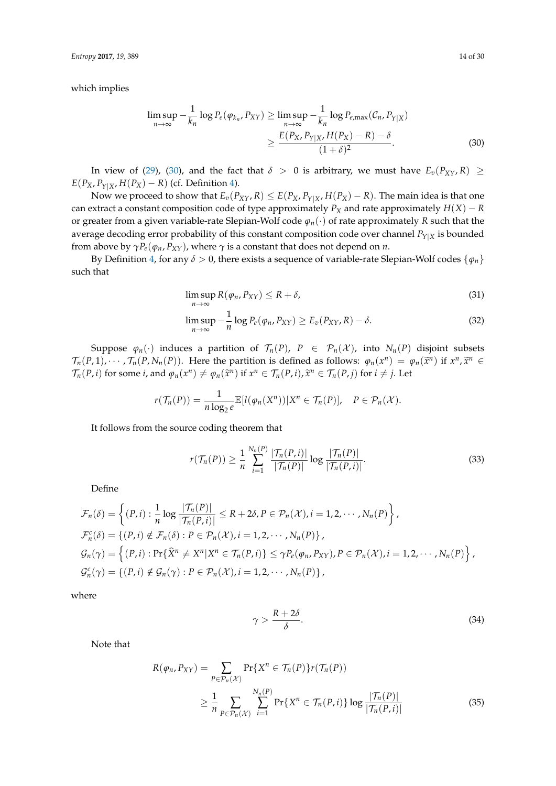*Entropy* **2017**, *19*, 389 14 of 30

which implies

<span id="page-13-0"></span>
$$
\limsup_{n \to \infty} -\frac{1}{k_n} \log P_e(\varphi_{k_n}, P_{XY}) \ge \limsup_{n \to \infty} -\frac{1}{k_n} \log P_{e,\max}(\mathcal{C}_n, P_{Y|X})
$$
\n
$$
\ge \frac{E(P_X, P_{Y|X}, H(P_X) - R) - \delta}{(1 + \delta)^2}.
$$
\n(30)

In view of [\(29\)](#page-12-0), [\(30\)](#page-13-0), and the fact that  $\delta > 0$  is arbitrary, we must have  $E_v(P_{XY}, R) \ge$  $E(P_X, P_{Y|X}, H(P_X) - R)$  (cf. Definition [4\)](#page-10-0).

Now we proceed to show that  $E_v(P_{XY}, R) \le E(P_X, P_{Y|X}, H(P_X) - R)$ . The main idea is that one can extract a constant composition code of type approximately  $P_X$  and rate approximately  $H(X) - R$ or greater from a given variable-rate Slepian-Wolf code *ϕn*(·) of rate approximately *R* such that the average decoding error probability of this constant composition code over channel *PY*|*<sup>X</sup>* is bounded from above by  $\gamma P_e(\varphi_n, P_{XY})$ , where  $\gamma$  is a constant that does not depend on *n*.

By Definition [4,](#page-10-0) for any  $\delta > 0$ , there exists a sequence of variable-rate Slepian-Wolf codes  $\{\varphi_n\}$ such that

<span id="page-13-3"></span>
$$
\limsup_{n \to \infty} R(\varphi_n, P_{XY}) \le R + \delta,\tag{31}
$$

<span id="page-13-5"></span>
$$
\limsup_{n \to \infty} -\frac{1}{n} \log P_e(\varphi_n, P_{XY}) \ge E_v(P_{XY}, R) - \delta.
$$
\n(32)

Suppose  $\varphi_n(\cdot)$  induces a partition of  $\mathcal{T}_n(P)$ ,  $P \in \mathcal{P}_n(\mathcal{X})$ , into  $N_n(P)$  disjoint subsets  $\mathcal{T}_n(P,1),\cdots,\mathcal{T}_n(P,N_n(P)).$  Here the partition is defined as follows:  $\varphi_n(x^n) = \varphi_n(\tilde{x}^n)$  if  $x^n, \tilde{x}^n \in \mathcal{T}(P,1)$ .  $\mathcal{T}_n(P,i)$  for some *i*, and  $\varphi_n(x^n) \neq \varphi_n(\tilde{x}^n)$  if  $x^n \in \mathcal{T}_n(P,i)$ ,  $\tilde{x}^n \in \mathcal{T}_n(P,j)$  for  $i \neq j$ . Let

$$
r(\mathcal{T}_n(P)) = \frac{1}{n \log_2 e} \mathbb{E}[l(\varphi_n(X^n)) | X^n \in \mathcal{T}_n(P)], \quad P \in \mathcal{P}_n(\mathcal{X}).
$$

It follows from the source coding theorem that

$$
r(\mathcal{T}_n(P)) \ge \frac{1}{n} \sum_{i=1}^{N_n(P)} \frac{|\mathcal{T}_n(P, i)|}{|\mathcal{T}_n(P)|} \log \frac{|\mathcal{T}_n(P)|}{|\mathcal{T}_n(P, i)|}.
$$
 (33)

Define

$$
\mathcal{F}_n(\delta) = \left\{ (P,i) : \frac{1}{n} \log \frac{|\mathcal{T}_n(P)|}{|\mathcal{T}_n(P,i)|} \le R + 2\delta, P \in \mathcal{P}_n(\mathcal{X}), i = 1, 2, \cdots, N_n(P) \right\},
$$
\n
$$
\mathcal{F}_n^c(\delta) = \left\{ (P,i) \notin \mathcal{F}_n(\delta) : P \in \mathcal{P}_n(\mathcal{X}), i = 1, 2, \cdots, N_n(P) \right\},
$$
\n
$$
\mathcal{G}_n(\gamma) = \left\{ (P,i) : \Pr\{\hat{X}^n \neq X^n | X^n \in \mathcal{T}_n(P,i)\} \le \gamma P_e(\varphi_n, P_{XY}), P \in \mathcal{P}_n(\mathcal{X}), i = 1, 2, \cdots, N_n(P) \right\},
$$
\n
$$
\mathcal{G}_n^c(\gamma) = \left\{ (P,i) \notin \mathcal{G}_n(\gamma) : P \in \mathcal{P}_n(\mathcal{X}), i = 1, 2, \cdots, N_n(P) \right\},
$$

where

<span id="page-13-4"></span><span id="page-13-2"></span><span id="page-13-1"></span>
$$
\gamma > \frac{R + 2\delta}{\delta}.\tag{34}
$$

Note that

$$
R(\varphi_n, P_{XY}) = \sum_{P \in \mathcal{P}_n(\mathcal{X})} \Pr\{X^n \in \mathcal{T}_n(P)\} r(\mathcal{T}_n(P))
$$
  
 
$$
\geq \frac{1}{n} \sum_{P \in \mathcal{P}_n(\mathcal{X})} \sum_{i=1}^{N_n(P)} \Pr\{X^n \in \mathcal{T}_n(P, i)\} \log \frac{|\mathcal{T}_n(P)|}{|\mathcal{T}_n(P, i)|}
$$
(35)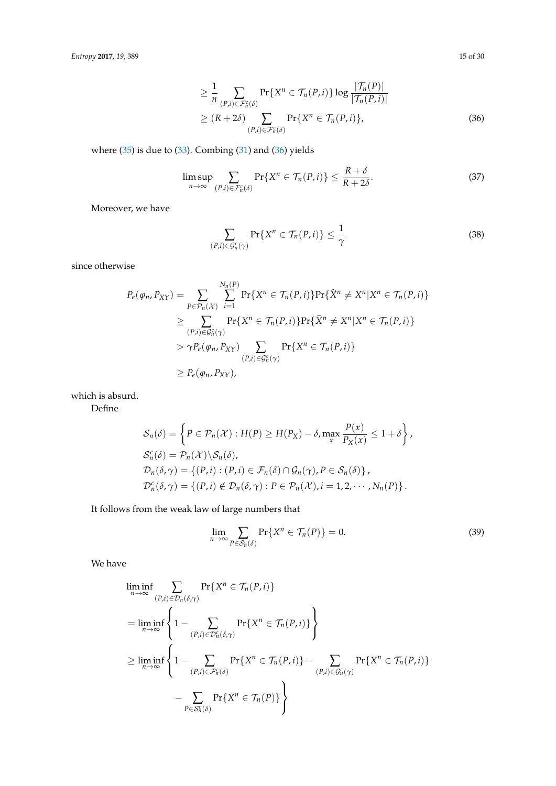$$
\geq \frac{1}{n} \sum_{(P,i)\in\mathcal{F}_n^c(\delta)} \Pr\{X^n \in \mathcal{T}_n(P,i)\} \log \frac{|\mathcal{T}_n(P)|}{|\mathcal{T}_n(P,i)|}
$$
\n
$$
\geq (R+2\delta) \sum_{(P,i)\in\mathcal{F}_n^c(\delta)} \Pr\{X^n \in \mathcal{T}_n(P,i)\},\tag{36}
$$

where  $(35)$  is due to  $(33)$ . Combing  $(31)$  and  $(36)$  yields

$$
\limsup_{n \to \infty} \sum_{(P,i) \in \mathcal{F}_n^c(\delta)} \Pr\{X^n \in \mathcal{T}_n(P,i)\} \le \frac{R+\delta}{R+2\delta}.
$$
\n(37)

Moreover, we have

$$
\sum_{(P,i)\in\mathcal{G}_n^c(\gamma)} \Pr\{X^n \in \mathcal{T}_n(P,i)\} \le \frac{1}{\gamma}
$$
\n(38)

since otherwise

$$
P_e(\varphi_n, P_{XY}) = \sum_{P \in \mathcal{P}_n(\mathcal{X})} \sum_{i=1}^{N_n(P)} \Pr\{X^n \in \mathcal{T}_n(P, i)\} \Pr\{\widehat{X}^n \neq X^n | X^n \in \mathcal{T}_n(P, i)\}
$$
  
\n
$$
\geq \sum_{(P,i) \in \mathcal{G}_n^c(\gamma)} \Pr\{X^n \in \mathcal{T}_n(P, i)\} \Pr\{\widehat{X}^n \neq X^n | X^n \in \mathcal{T}_n(P, i)\}
$$
  
\n
$$
> \gamma P_e(\varphi_n, P_{XY}) \sum_{(P,i) \in \mathcal{G}_n^c(\gamma)} \Pr\{X^n \in \mathcal{T}_n(P, i)\}
$$
  
\n
$$
\geq P_e(\varphi_n, P_{XY}),
$$

which is absurd.

Define

$$
S_n(\delta) = \left\{ P \in \mathcal{P}_n(\mathcal{X}) : H(P) \ge H(P_X) - \delta, \max_x \frac{P(x)}{P_X(x)} \le 1 + \delta \right\},
$$
  
\n
$$
S_n^c(\delta) = \mathcal{P}_n(\mathcal{X}) \setminus S_n(\delta),
$$
  
\n
$$
\mathcal{D}_n(\delta, \gamma) = \left\{ (P, i) : (P, i) \in \mathcal{F}_n(\delta) \cap \mathcal{G}_n(\gamma), P \in S_n(\delta) \right\},
$$
  
\n
$$
\mathcal{D}_n^c(\delta, \gamma) = \left\{ (P, i) \notin \mathcal{D}_n(\delta, \gamma) : P \in \mathcal{P}_n(\mathcal{X}), i = 1, 2, \cdots, N_n(P) \right\}.
$$

It follows from the weak law of large numbers that

<span id="page-14-2"></span>
$$
\lim_{n \to \infty} \sum_{P \in \mathcal{S}_n^c(\delta)} \Pr\{X^n \in \mathcal{T}_n(P)\} = 0.
$$
\n(39)

We have

$$
\liminf_{n \to \infty} \sum_{(P,i) \in \mathcal{D}_n(\delta,\gamma)} \Pr\{X^n \in \mathcal{T}_n(P,i)\}
$$
\n
$$
= \liminf_{n \to \infty} \left\{ 1 - \sum_{(P,i) \in \mathcal{D}_n^c(\delta,\gamma)} \Pr\{X^n \in \mathcal{T}_n(P,i)\} \right\}
$$
\n
$$
\geq \liminf_{n \to \infty} \left\{ 1 - \sum_{(P,i) \in \mathcal{F}_n^c(\delta)} \Pr\{X^n \in \mathcal{T}_n(P,i)\} - \sum_{(P,i) \in \mathcal{G}_n^c(\gamma)} \Pr\{X^n \in \mathcal{T}_n(P)\} \right\}
$$
\n
$$
- \sum_{P \in \mathcal{S}_n^c(\delta)} \Pr\{X^n \in \mathcal{T}_n(P)\} \right\}
$$

<span id="page-14-1"></span><span id="page-14-0"></span>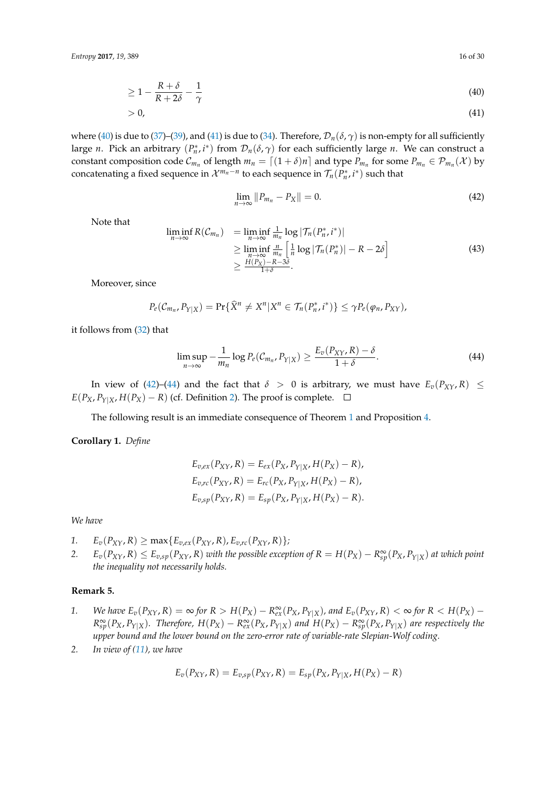$$
\geq 1 - \frac{R + \delta}{R + 2\delta} - \frac{1}{\gamma} \tag{40}
$$

$$
>0,\tag{41}
$$

where [\(40\)](#page-15-0) is due to [\(37\)](#page-14-1)–[\(39\)](#page-14-2), and [\(41\)](#page-15-1) is due to [\(34\)](#page-13-4). Therefore,  $\mathcal{D}_n(\delta, \gamma)$  is non-empty for all sufficiently large *n*. Pick an arbitrary  $(P_n^*, i^*)$  from  $\mathcal{D}_n(\delta, \gamma)$  for each sufficiently large *n*. We can construct a constant composition code  $C_{m_n}$  of length  $m_n = [(1 + \delta)n]$  and type  $P_{m_n}$  for some  $P_{m_n} \in \mathcal{P}_{m_n}(\mathcal{X})$  by concatenating a fixed sequence in  $\mathcal{X}^{m_n-n}$  to each sequence in  $\mathcal{T}_n(P_n^*, i^*)$  such that

<span id="page-15-3"></span><span id="page-15-2"></span><span id="page-15-1"></span><span id="page-15-0"></span>
$$
\lim_{n \to \infty} \|P_{m_n} - P_X\| = 0.
$$
\n(42)

Note that

$$
\liminf_{n \to \infty} R(\mathcal{C}_{m_n}) = \liminf_{n \to \infty} \frac{1}{m_n} \log |\mathcal{T}_n(P_n^*, i^*)|
$$
\n
$$
\geq \liminf_{n \to \infty} \frac{m_n}{m_n} \left[ \frac{1}{n} \log |\mathcal{T}_n(P_n^*)| - R - 2\delta \right]
$$
\n
$$
\geq \frac{H(P_X) - R - 3\delta}{1 + \delta}.
$$
\n(43)

Moreover, since

$$
P_e(\mathcal{C}_{m_n}, P_{Y|X}) = \Pr{\{\widehat{X}^n \neq X^n | X^n \in \mathcal{T}_n(P_n^*, i^*)\}} \leq \gamma P_e(\varphi_n, P_{XY}),
$$

it follows from [\(32\)](#page-13-5) that

$$
\limsup_{n\to\infty}-\frac{1}{m_n}\log P_e(\mathcal{C}_{m_n},P_{Y|X})\geq \frac{E_v(P_{XY},R)-\delta}{1+\delta}.
$$
\n(44)

In view of [\(42\)](#page-15-2)–[\(44\)](#page-15-3) and the fact that  $\delta > 0$  is arbitrary, we must have  $E_v(P_{XY}, R) \leq$ *E*( $P_X$ ,  $P_{Y|X}$ , *H*( $P_X$ ) − *R*) (cf. Definition [2\)](#page-3-1). The proof is complete.  $□$ 

The following result is an immediate consequence of Theorem [1](#page-10-1) and Proposition [4.](#page-5-1)

**Corollary 1.** *Define*

$$
E_{v,ex}(P_{XY}, R) = E_{ex}(P_X, P_{Y|X}, H(P_X) - R),
$$
  
\n
$$
E_{v,rc}(P_{XY}, R) = E_{rc}(P_X, P_{Y|X}, H(P_X) - R),
$$
  
\n
$$
E_{v,sp}(P_{XY}, R) = E_{sp}(P_X, P_{Y|X}, H(P_X) - R).
$$

*We have*

- *1.*  $E_v(P_{XY}, R) \ge \max\{E_{v,ex}(P_{XY}, R), E_{v,rc}(P_{XY}, R)\};$
- 2.  $E_v(P_{XY}, R) \le E_{v, sp}(P_{XY}, R)$  with the possible exception of  $R = H(P_X) R_{sp}^{\infty}(P_X, P_{Y|X})$  at which point *the inequality not necessarily holds.*

## **Remark 5.**

- 1. We have  $E_v(P_{XY}, R) = \infty$  for  $R > H(P_X) R_{ex}^{\infty}(P_X, P_{Y|X})$ , and  $E_v(P_{XY}, R) < \infty$  for  $R < H(P_X) R_{XY}$  $R_{sp}^{\infty}(P_X, P_{Y|X})$ . Therefore,  $H(P_X) - R_{ex}^{\infty}(P_X, P_{Y|X})$  and  $H(P_X) - R_{sp}^{\infty}(P_X, P_{Y|X})$  are respectively the *upper bound and the lower bound on the zero-error rate of variable-rate Slepian-Wolf coding.*
- *2. In view of [\(11\)](#page-4-4), we have*

$$
E_v(P_{XY}, R) = E_{v,sp}(P_{XY}, R) = E_{sp}(P_X, P_{Y|X}, H(P_X) - R)
$$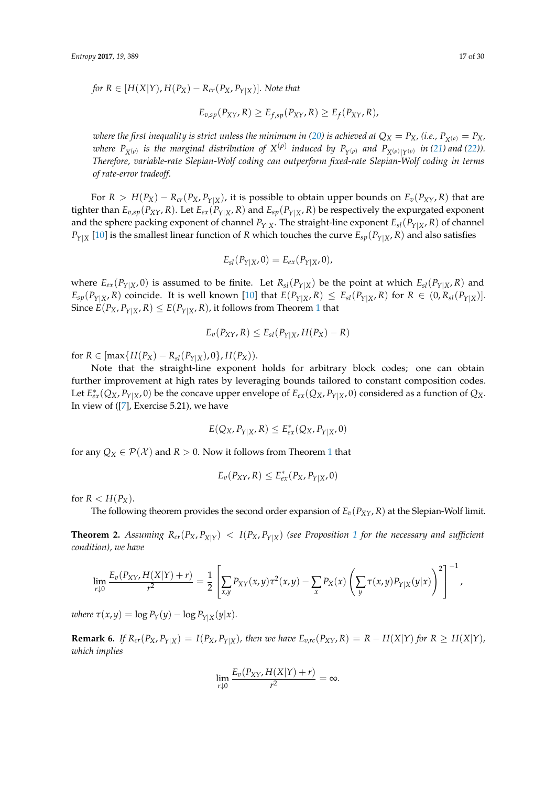*for*  $R \in [H(X|Y), H(P_X) - R_{cr}(P_X, P_{Y|X})]$ . Note that

$$
E_{v,sp}(P_{XY}, R) \geq E_{f,sp}(P_{XY}, R) \geq E_f(P_{XY}, R),
$$

*where the first inequality is strict unless the minimum in [\(20\)](#page-7-2) is achieved at*  $Q_X = P_X$ *, (i.e.,*  $P_{X(\rho)} = P_X$ *,* where  $P_{X^{(\rho)}}$  is the marginal distribution of  $X^{(\rho)}$  induced by  $P_{Y^{(\rho)}}$  and  $P_{X^{(\rho)}|Y^{(\rho)}}$  in [\(21\)](#page-8-1) and [\(22\)](#page-8-2)). *Therefore, variable-rate Slepian-Wolf coding can outperform fixed-rate Slepian-Wolf coding in terms of rate-error tradeoff.*

For  $R > H(P_X) - R_{cr}(P_X, P_{Y|X})$ , it is possible to obtain upper bounds on  $E_v(P_{XY}, R)$  that are tighter than  $E_{v,sp}(P_{XY}, R)$ . Let  $E_{ex}(P_{Y|X}, R)$  and  $E_{sp}(P_{Y|X}, R)$  be respectively the expurgated exponent and the sphere packing exponent of channel  $P_{Y|X}$ . The straight-line exponent  $E_{sl}(P_{Y|X}, R)$  of channel  $P_{Y|X}$  [\[10\]](#page-29-7) is the smallest linear function of *R* which touches the curve  $E_{SP}(P_{Y|X}, R)$  and also satisfies

$$
E_{sl}(P_{Y|X},0)=E_{ex}(P_{Y|X},0),
$$

where  $E_{ex}(P_{Y|X}, 0)$  is assumed to be finite. Let  $R_{sl}(P_{Y|X})$  be the point at which  $E_{sl}(P_{Y|X}, R)$  and  $E_{sp}(P_{Y|X}, R)$  coincide. It is well known [\[10\]](#page-29-7) that  $E(P_{Y|X}, R) \leq E_{sl}(P_{Y|X}, R)$  for  $R \in (0, R_{sl}(P_{Y|X})]$ . Since  $E(P_X, P_{Y|X}, R) \leq E(P_{Y|X}, R)$ , it follows from Theorem [1](#page-10-1) that

$$
E_v(P_{XY}, R) \le E_{sl}(P_{Y|X}, H(P_X) - R)
$$

for *R* ∈ [max{*H*(*P*<sub>*X*</sub>) − *R*<sub>*sl*</sub>(*P*<sub>*Y*|*X*</sub>), 0}, *H*(*P*<sub>*X*</sub>)).

Note that the straight-line exponent holds for arbitrary block codes; one can obtain further improvement at high rates by leveraging bounds tailored to constant composition codes. Let  $E_{ex}^*(Q_X, P_{Y|X}, 0)$  be the concave upper envelope of  $E_{ex}(Q_X, P_{Y|X}, 0)$  considered as a function of  $Q_X$ . In view of ([\[7\]](#page-29-4), Exercise 5.21), we have

$$
E(Q_X, P_{Y|X}, R) \le E_{ex}^*(Q_X, P_{Y|X}, 0)
$$

for any  $Q_X \in \mathcal{P}(\mathcal{X})$  and  $R > 0$ . Now it follows from Theorem [1](#page-10-1) that

$$
E_v(P_{XY}, R) \le E_{ex}^*(P_X, P_{Y|X}, 0)
$$

for  $R < H(P_X)$ .

The following theorem provides the second order expansion of  $E_v(P_{XY}, R)$  at the Slepian-Wolf limit.

**Theorem 2.** Assuming  $R_{cr}(P_X, P_{X|Y}) < I(P_X, P_{Y|X})$  (see Proposition [1](#page-4-3) for the necessary and sufficient *condition), we have*

$$
\lim_{r\downarrow 0} \frac{E_v(P_{XY}, H(X|Y)+r)}{r^2} = \frac{1}{2} \left[ \sum_{x,y} P_{XY}(x,y) \tau^2(x,y) - \sum_x P_X(x) \left( \sum_y \tau(x,y) P_{Y|X}(y|x) \right)^2 \right]^{-1},
$$

*where*  $\tau(x, y) = \log P_Y(y) - \log P_{Y|X}(y|x)$ .

**Remark 6.** If  $R_{cr}(P_X, P_{Y|X}) = I(P_X, P_{Y|X})$ , then we have  $E_{v,rc}(P_{XY}, R) = R - H(X|Y)$  for  $R \geq H(X|Y)$ , *which implies*

$$
\lim_{r\downarrow 0}\frac{E_v(P_{XY},H(X|Y)+r)}{r^2}=\infty.
$$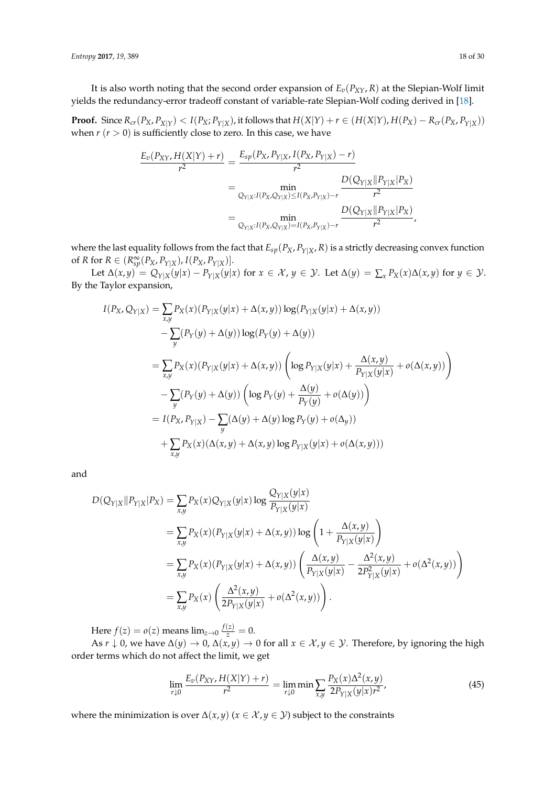It is also worth noting that the second order expansion of  $E_v(P_{XY}, R)$  at the Slepian-Wolf limit yields the redundancy-error tradeoff constant of variable-rate Slepian-Wolf coding derived in [\[18\]](#page-29-15).

**Proof.** Since  $R_{cr}(P_X, P_{X|Y}) < I(P_X; P_{Y|X})$ , it follows that  $H(X|Y) + r \in (H(X|Y), H(P_X) - R_{cr}(P_X, P_{Y|X}))$ when  $r (r > 0)$  is sufficiently close to zero. In this case, we have

$$
\frac{E_v(P_{XY}, H(X|Y) + r)}{r^2} = \frac{E_{sp}(P_X, P_{Y|X}, I(P_X, P_{Y|X}) - r)}{r^2}
$$
  
= 
$$
\min_{Q_{Y|X}: I(P_X, Q_{Y|X}) \leq I(P_X, P_{Y|X}) - r} \frac{D(Q_{Y|X} || P_{Y|X} | P_X)}{r^2}
$$
  
= 
$$
\min_{Q_{Y|X}: I(P_X, Q_{Y|X}) = I(P_X, P_{Y|X}) - r} \frac{D(Q_{Y|X} || P_{Y|X} | P_X)}{r^2},
$$

where the last equality follows from the fact that  $E_{sp}(P_X, P_{Y|X}, R)$  is a strictly decreasing convex function of *R* for  $R \in (R_{sp}^{\infty}(P_X, P_{Y|X}), I(P_X, P_{Y|X})].$ 

Let  $\Delta(x,y) = Q_{Y|X}(y|x) - P_{Y|X}(y|x)$  for  $x \in \mathcal{X}$ ,  $y \in \mathcal{Y}$ . Let  $\Delta(y) = \sum_{x} P_X(x)\Delta(x,y)$  for  $y \in \mathcal{Y}$ . By the Taylor expansion,

$$
I(P_X, Q_{Y|X}) = \sum_{x,y} P_X(x) (P_{Y|X}(y|x) + \Delta(x,y)) \log(P_{Y|X}(y|x) + \Delta(x,y))
$$
  
\n
$$
- \sum_{y} (P_Y(y) + \Delta(y)) \log(P_Y(y) + \Delta(y))
$$
  
\n
$$
= \sum_{x,y} P_X(x) (P_{Y|X}(y|x) + \Delta(x,y)) \left( \log P_{Y|X}(y|x) + \frac{\Delta(x,y)}{P_{Y|X}(y|x)} + o(\Delta(x,y)) \right)
$$
  
\n
$$
- \sum_{y} (P_Y(y) + \Delta(y)) \left( \log P_Y(y) + \frac{\Delta(y)}{P_Y(y)} + o(\Delta(y)) \right)
$$
  
\n
$$
= I(P_X, P_{Y|X}) - \sum_{y} (\Delta(y) + \Delta(y) \log P_Y(y) + o(\Delta_y))
$$
  
\n
$$
+ \sum_{x,y} P_X(x) (\Delta(x,y) + \Delta(x,y) \log P_{Y|X}(y|x) + o(\Delta(x,y)))
$$

and

$$
D(Q_{Y|X}||P_{Y|X}|P_X) = \sum_{x,y} P_X(x) Q_{Y|X}(y|x) \log \frac{Q_{Y|X}(y|x)}{P_{Y|X}(y|x)}
$$
  
\n
$$
= \sum_{x,y} P_X(x) (P_{Y|X}(y|x) + \Delta(x,y)) \log \left(1 + \frac{\Delta(x,y)}{P_{Y|X}(y|x)}\right)
$$
  
\n
$$
= \sum_{x,y} P_X(x) (P_{Y|X}(y|x) + \Delta(x,y)) \left( \frac{\Delta(x,y)}{P_{Y|X}(y|x)} - \frac{\Delta^2(x,y)}{2P_{Y|X}^2(y|x)} + o(\Delta^2(x,y)) \right)
$$
  
\n
$$
= \sum_{x,y} P_X(x) \left( \frac{\Delta^2(x,y)}{2P_{Y|X}(y|x)} + o(\Delta^2(x,y)) \right).
$$

Here  $f(z) = o(z)$  means  $\lim_{z \to 0} \frac{f(z)}{z} = 0$ .

As  $r \downarrow 0$ , we have  $\Delta(y) \to 0$ ,  $\Delta(x, y) \to 0$  for all  $x \in \mathcal{X}, y \in \mathcal{Y}$ . Therefore, by ignoring the high order terms which do not affect the limit, we get

<span id="page-17-0"></span>
$$
\lim_{r \downarrow 0} \frac{E_v(P_{XY}, H(X|Y) + r)}{r^2} = \lim_{r \downarrow 0} \min \sum_{x,y} \frac{P_X(x) \Delta^2(x,y)}{2P_{Y|X}(y|x)r^2},\tag{45}
$$

where the minimization is over  $\Delta(x, y)$  ( $x \in \mathcal{X}, y \in \mathcal{Y}$ ) subject to the constraints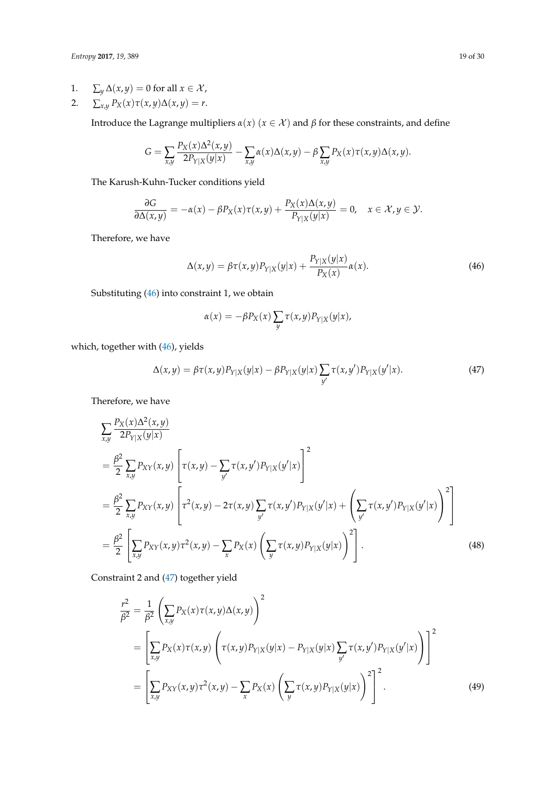- 1.  $\sum_{y} \Delta(x, y) = 0$  for all  $x \in \mathcal{X}$ ,
- 2.  $\sum_{x,y} P_X(x) \tau(x,y) \Delta(x,y) = r.$

Introduce the Lagrange multipliers  $\alpha(x)$  ( $x \in \mathcal{X}$ ) and  $\beta$  for these constraints, and define

$$
G = \sum_{x,y} \frac{P_X(x) \Delta^2(x,y)}{2P_{Y|X}(y|x)} - \sum_{x,y} \alpha(x) \Delta(x,y) - \beta \sum_{x,y} P_X(x) \tau(x,y) \Delta(x,y).
$$

The Karush-Kuhn-Tucker conditions yield

$$
\frac{\partial G}{\partial \Delta(x,y)} = -\alpha(x) - \beta P_X(x)\tau(x,y) + \frac{P_X(x)\Delta(x,y)}{P_{Y|X}(y|x)} = 0, \quad x \in \mathcal{X}, y \in \mathcal{Y}.
$$

Therefore, we have

$$
\Delta(x,y) = \beta \tau(x,y) P_{Y|X}(y|x) + \frac{P_{Y|X}(y|x)}{P_X(x)} \alpha(x). \tag{46}
$$

Substituting [\(46\)](#page-18-0) into constraint 1, we obtain

<span id="page-18-2"></span><span id="page-18-1"></span><span id="page-18-0"></span>
$$
\alpha(x) = -\beta P_X(x) \sum_{y} \tau(x, y) P_{Y|X}(y|x),
$$

which, together with [\(46\)](#page-18-0), yields

$$
\Delta(x,y) = \beta \tau(x,y) P_{Y|X}(y|x) - \beta P_{Y|X}(y|x) \sum_{y'} \tau(x,y') P_{Y|X}(y'|x). \tag{47}
$$

Therefore, we have

$$
\sum_{x,y} \frac{P_X(x)\Delta^2(x,y)}{2P_{Y|X}(y|x)} \n= \frac{\beta^2}{2} \sum_{x,y} P_{XY}(x,y) \left[ \tau(x,y) - \sum_{y'} \tau(x,y') P_{Y|X}(y'|x) \right]^2 \n= \frac{\beta^2}{2} \sum_{x,y} P_{XY}(x,y) \left[ \tau^2(x,y) - 2\tau(x,y) \sum_{y'} \tau(x,y') P_{Y|X}(y'|x) + \left( \sum_{y'} \tau(x,y') P_{Y|X}(y'|x) \right)^2 \right] \n= \frac{\beta^2}{2} \left[ \sum_{x,y} P_{XY}(x,y) \tau^2(x,y) - \sum_{x} P_X(x) \left( \sum_{y} \tau(x,y) P_{Y|X}(y|x) \right)^2 \right].
$$
\n(48)

Constraint 2 and [\(47\)](#page-18-1) together yield

<span id="page-18-3"></span>
$$
\frac{r^2}{\beta^2} = \frac{1}{\beta^2} \left( \sum_{x,y} P_X(x) \tau(x,y) \Delta(x,y) \right)^2 \n= \left[ \sum_{x,y} P_X(x) \tau(x,y) \left( \tau(x,y) P_{Y|X}(y|x) - P_{Y|X}(y|x) \sum_{y'} \tau(x,y') P_{Y|X}(y'|x) \right) \right]^2 \n= \left[ \sum_{x,y} P_{XY}(x,y) \tau^2(x,y) - \sum_{x} P_X(x) \left( \sum_{y} \tau(x,y) P_{Y|X}(y|x) \right)^2 \right]^2.
$$
\n(49)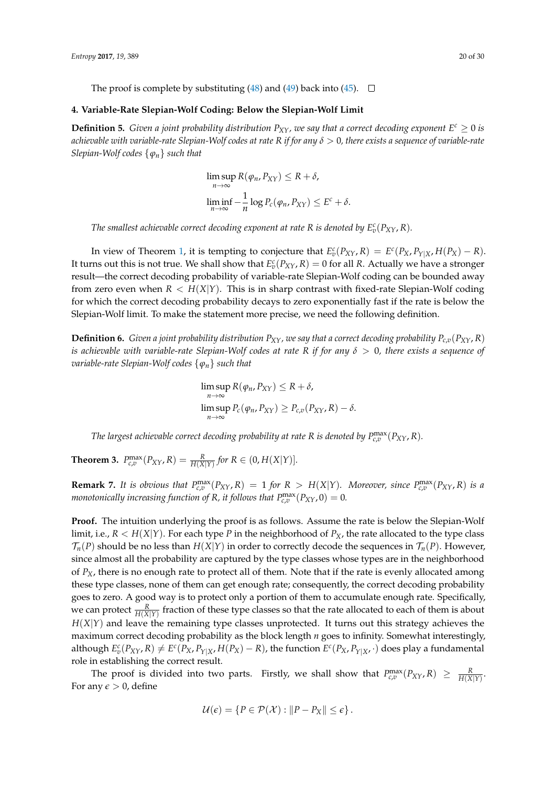The proof is complete by substituting [\(48\)](#page-18-2) and [\(49\)](#page-18-3) back into [\(45\)](#page-17-0).  $\Box$ 

## <span id="page-19-0"></span>**4. Variable-Rate Slepian-Wolf Coding: Below the Slepian-Wolf Limit**

**Definition 5.** *Given a joint probability distribution*  $P_{XY}$ *, we say that a correct decoding exponent*  $E^c \geq 0$  *is achievable with variable-rate Slepian-Wolf codes at rate*  $R$  *if for any*  $\delta > 0$ , there exists a sequence of variable-rate *Slepian-Wolf codes* {*ϕn*} *such that*

$$
\limsup_{n \to \infty} R(\varphi_n, P_{XY}) \le R + \delta,
$$
  

$$
\liminf_{n \to \infty} -\frac{1}{n} \log P_c(\varphi_n, P_{XY}) \le E^c + \delta.
$$

*The smallest achievable correct decoding exponent at rate R is denoted by*  $E_v^c(P_{XY}, R)$ *.* 

In view of Theorem [1,](#page-10-1) it is tempting to conjecture that  $E_v^c(P_{XY}, R) = E^c(P_X, P_{Y|X}, H(P_X) - R)$ . It turns out this is not true. We shall show that  $E_v^c(P_{XY}, R) = 0$  for all *R*. Actually we have a stronger result—the correct decoding probability of variable-rate Slepian-Wolf coding can be bounded away from zero even when  $R < H(X|Y)$ . This is in sharp contrast with fixed-rate Slepian-Wolf coding for which the correct decoding probability decays to zero exponentially fast if the rate is below the Slepian-Wolf limit. To make the statement more precise, we need the following definition.

<span id="page-19-1"></span>**Definition 6.** Given a joint probability distribution  $P_{XY}$ , we say that a correct decoding probability  $P_{c,v}(P_{XY}, R)$ *is achievable with variable-rate Slepian-Wolf codes at rate R if for any δ* > 0*, there exists a sequence of variable-rate Slepian-Wolf codes* {*ϕn*} *such that*

$$
\limsup_{n \to \infty} R(\varphi_n, P_{XY}) \le R + \delta,
$$
  

$$
\limsup_{n \to \infty} P_c(\varphi_n, P_{XY}) \ge P_{c,v}(P_{XY}, R) - \delta.
$$

*The largest achievable correct decoding probability at rate R is denoted by*  $P_{c,v}^{\text{max}}(P_{XY}, R)$ *.* 

**Theorem 3.**  $P_{c,v}^{\max}(P_{XY}, R) = \frac{R}{H(X|Y)}$  for  $R \in (0, H(X|Y)).$ 

**Remark 7.** It is obvious that  $P_{c,v}^{\max}(P_{XY},R) = 1$  for  $R > H(X|Y)$ . Moreover, since  $P_{c,v}^{\max}(P_{XY},R)$  is a *monotonically increasing function of R, it follows that*  $P_{c,v}^{\text{max}}(P_{XY}, 0) = 0$ *.* 

**Proof.** The intuition underlying the proof is as follows. Assume the rate is below the Slepian-Wolf limit, i.e.,  $R < H(X|Y)$ . For each type *P* in the neighborhood of  $P_X$ , the rate allocated to the type class  $\mathcal{T}_n(P)$  should be no less than  $H(X|Y)$  in order to correctly decode the sequences in  $\mathcal{T}_n(P)$ . However, since almost all the probability are captured by the type classes whose types are in the neighborhood of *PX*, there is no enough rate to protect all of them. Note that if the rate is evenly allocated among these type classes, none of them can get enough rate; consequently, the correct decoding probability goes to zero. A good way is to protect only a portion of them to accumulate enough rate. Specifically, we can protect  $\frac{R}{H(X|Y)}$  fraction of these type classes so that the rate allocated to each of them is about  $H(X|Y)$  and leave the remaining type classes unprotected. It turns out this strategy achieves the maximum correct decoding probability as the block length *n* goes to infinity. Somewhat interestingly, although  $E_p^c(P_{XY}, R) \neq E^c(P_X, P_{Y|X}, H(P_X) - R)$ , the function  $E^c(P_X, P_{Y|X}, \cdot)$  does play a fundamental role in establishing the correct result.

The proof is divided into two parts. Firstly, we shall show that  $P_{c,v}^{\max}(P_{XY}, R) \geq \frac{R}{H(X|Y)}$ . For any  $\epsilon > 0$ , define

$$
\mathcal{U}(\epsilon) = \{ P \in \mathcal{P}(\mathcal{X}) : ||P - P_X|| \leq \epsilon \}.
$$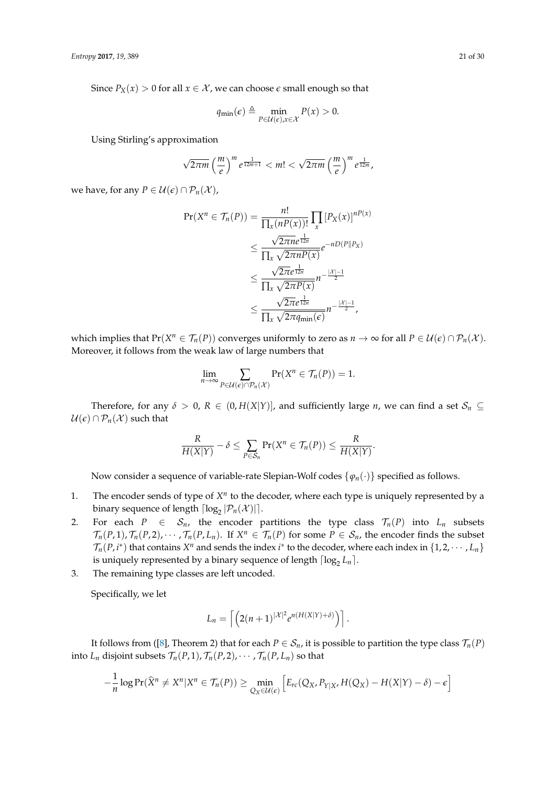Since  $P_X(x) > 0$  for all  $x \in \mathcal{X}$ , we can choose  $\epsilon$  small enough so that

$$
q_{\min}(\epsilon) \triangleq \min_{P \in \mathcal{U}(\epsilon), x \in \mathcal{X}} P(x) > 0.
$$

Using Stirling's approximation

$$
\sqrt{2\pi m}\left(\frac{m}{e}\right)^m e^{\frac{1}{12m+1}} < m! < \sqrt{2\pi m}\left(\frac{m}{e}\right)^m e^{\frac{1}{12m}},
$$

we have, for any  $P \in \mathcal{U}(\epsilon) \cap \mathcal{P}_n(\mathcal{X})$ ,

$$
\Pr(X^n \in \mathcal{T}_n(P)) = \frac{n!}{\prod_x (nP(x))!} \prod_x [P_X(x)]^{nP(x)}
$$
  
\n
$$
\leq \frac{\sqrt{2\pi n}e^{\frac{1}{12n}}}{\prod_x \sqrt{2\pi n}P(x)} e^{-nD(P||P_X)}
$$
  
\n
$$
\leq \frac{\sqrt{2\pi}e^{\frac{1}{12n}}}{\prod_x \sqrt{2\pi P(x)}} n^{-\frac{|X|-1}{2}}
$$
  
\n
$$
\leq \frac{\sqrt{2\pi}e^{\frac{1}{12n}}}{\prod_x \sqrt{2\pi q_{\min}(\epsilon)}} n^{-\frac{|X|-1}{2}},
$$

which implies that  $Pr(X^n \in \mathcal{T}_n(P))$  converges uniformly to zero as  $n \to \infty$  for all  $P \in \mathcal{U}(\epsilon) \cap \mathcal{P}_n(\mathcal{X})$ . Moreover, it follows from the weak law of large numbers that

$$
\lim_{n\to\infty}\sum_{P\in\mathcal{U}(\epsilon)\cap\mathcal{P}_n(\mathcal{X})}\Pr(X^n\in\mathcal{T}_n(P))=1.
$$

Therefore, for any  $\delta > 0$ ,  $R \in (0, H(X|Y)]$ , and sufficiently large *n*, we can find a set  $S_n \subseteq$  $U(\epsilon) \cap P_n(\mathcal{X})$  such that

$$
\frac{R}{H(X|Y)} - \delta \leq \sum_{P \in \mathcal{S}_n} \Pr(X^n \in \mathcal{T}_n(P)) \leq \frac{R}{H(X|Y)}.
$$

Now consider a sequence of variable-rate Slepian-Wolf codes {*ϕn*(·)} specified as follows.

- 1. The encoder sends of type of  $X^n$  to the decoder, where each type is uniquely represented by a binary sequence of length  $\lceil \log_2 |P_n(\mathcal{X})| \rceil$ .
- 2. For each  $P \in S_n$ , the encoder partitions the type class  $\mathcal{T}_n(P)$  into  $L_n$  subsets  $\mathcal{T}_n(P, 1), \mathcal{T}_n(P, 2), \cdots, \mathcal{T}_n(P, L_n)$ . If  $X^n \in \mathcal{T}_n(P)$  for some  $P \in \mathcal{S}_n$ , the encoder finds the subset  $\mathcal{T}_n(P, i^*)$  that contains  $X^n$  and sends the index  $i^*$  to the decoder, where each index in  $\{1, 2, \cdots, L_n\}$ is uniquely represented by a binary sequence of length  $\lceil \log_2 L_n \rceil$ .
- 3. The remaining type classes are left uncoded.

Specifically, we let

$$
L_n = \left\lceil \left( 2(n+1)^{|\mathcal{X}|^2} e^{n(H(X|Y)+\delta)} \right) \right\rceil.
$$

It follows from ([\[8\]](#page-29-5), Theorem 2) that for each  $P \in S_n$ , it is possible to partition the type class  $\mathcal{T}_n(P)$ into  $L_n$  disjoint subsets  $\mathcal{T}_n(P, 1), \mathcal{T}_n(P, 2), \cdots, \mathcal{T}_n(P, L_n)$  so that

$$
-\frac{1}{n}\log \Pr(\widehat{X}^n \neq X^n | X^n \in \mathcal{T}_n(P)) \geq \min_{Q_X \in \mathcal{U}(\epsilon)} \left[ E_{rc}(Q_X, P_{Y|X}, H(Q_X) - H(X|Y) - \delta) - \epsilon \right]
$$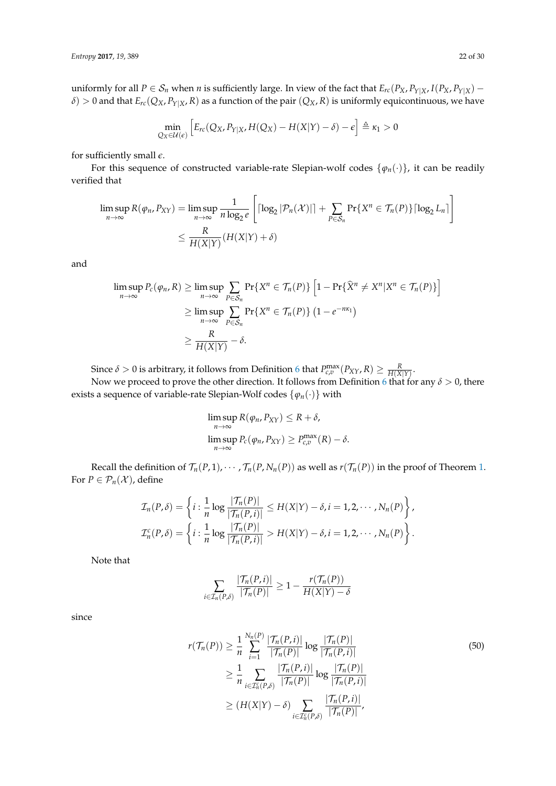uniformly for all  $P \in S_n$  when *n* is sufficiently large. In view of the fact that  $E_{rc}(P_X, P_{Y|X}, I(P_X, P_{Y|X})$  –  $\delta$ ) > 0 and that  $E_{rc}(Q_X, P_{Y|X}, R)$  as a function of the pair  $(Q_X, R)$  is uniformly equicontinuous, we have

$$
\min_{Q_X \in \mathcal{U}(\epsilon)} \left[ E_{rc}(Q_X, P_{Y|X}, H(Q_X) - H(X|Y) - \delta) - \epsilon \right] \triangleq \kappa_1 > 0
$$

for sufficiently small *e*.

For this sequence of constructed variable-rate Slepian-wolf codes  $\{\varphi_n(\cdot)\}\)$ , it can be readily verified that

$$
\limsup_{n \to \infty} R(\varphi_n, P_{XY}) = \limsup_{n \to \infty} \frac{1}{n \log_2 e} \left[ \left\lceil \log_2 |\mathcal{P}_n(\mathcal{X})| \right\rceil + \sum_{P \in \mathcal{S}_n} \Pr\{X^n \in \mathcal{T}_n(P)\} \left\lceil \log_2 L_n \right\rceil \right]
$$

$$
\leq \frac{R}{H(X|Y)} (H(X|Y) + \delta)
$$

and

$$
\limsup_{n \to \infty} P_c(\varphi_n, R) \ge \limsup_{n \to \infty} \sum_{P \in S_n} \Pr\{X^n \in \mathcal{T}_n(P)\} \left[1 - \Pr\{\widehat{X}^n \neq X^n | X^n \in \mathcal{T}_n(P)\}\right]
$$
\n
$$
\ge \limsup_{n \to \infty} \sum_{P \in S_n} \Pr\{X^n \in \mathcal{T}_n(P)\} \left(1 - e^{-n\kappa_1}\right)
$$
\n
$$
\ge \frac{R}{H(X|Y)} - \delta.
$$

Since  $\delta > 0$  is arbitrary, it follows from Definition [6](#page-19-1) that  $P_{c,v}^{\max}(P_{XY}, R) \geq \frac{R}{H(X|Y)}.$ 

Now we proceed to prove the other direction. It follows from Definition [6](#page-19-1) that for any  $\delta > 0$ , there exists a sequence of variable-rate Slepian-Wolf codes  $\{\varphi_n(\cdot)\}\$  with

$$
\limsup_{n \to \infty} R(\varphi_n, P_{XY}) \le R + \delta,
$$
  

$$
\limsup_{n \to \infty} P_c(\varphi_n, P_{XY}) \ge P_{c,\varphi}^{\max}(R) - \delta.
$$

Recall the definition of  $\mathcal{T}_n(P,1), \dots, \mathcal{T}_n(P, N_n(P))$  as well as  $r(\mathcal{T}_n(P))$  in the proof of Theorem [1.](#page-10-1) For  $P \in \mathcal{P}_n(\mathcal{X})$ , define

$$
\mathcal{I}_n(P,\delta) = \left\{ i : \frac{1}{n} \log \frac{|\mathcal{T}_n(P)|}{|\mathcal{T}_n(P,i)|} \le H(X|Y) - \delta, i = 1, 2, \cdots, N_n(P) \right\},
$$
  

$$
\mathcal{I}_n^c(P,\delta) = \left\{ i : \frac{1}{n} \log \frac{|\mathcal{T}_n(P)|}{|\mathcal{T}_n(P,i)|} > H(X|Y) - \delta, i = 1, 2, \cdots, N_n(P) \right\}.
$$

Note that

<span id="page-21-0"></span>
$$
\sum_{i \in \mathcal{I}_n(P,\delta)} \frac{|\mathcal{T}_n(P,i)|}{|\mathcal{T}_n(P)|} \ge 1 - \frac{r(\mathcal{T}_n(P))}{H(X|Y) - \delta}
$$

since

$$
r(\mathcal{T}_n(P)) \ge \frac{1}{n} \sum_{i=1}^{N_n(P)} \frac{|\mathcal{T}_n(P,i)|}{|\mathcal{T}_n(P)|} \log \frac{|\mathcal{T}_n(P)|}{|\mathcal{T}_n(P,i)|}
$$
  
\n
$$
\ge \frac{1}{n} \sum_{i \in \mathcal{I}_n^c(P,\delta)} \frac{|\mathcal{T}_n(P,i)|}{|\mathcal{T}_n(P)|} \log \frac{|\mathcal{T}_n(P)|}{|\mathcal{T}_n(P,i)|}
$$
  
\n
$$
\ge (H(X|Y) - \delta) \sum_{i \in \mathcal{I}_n^c(P,\delta)} \frac{|\mathcal{T}_n(P,i)|}{|\mathcal{T}_n(P)|},
$$
\n(50)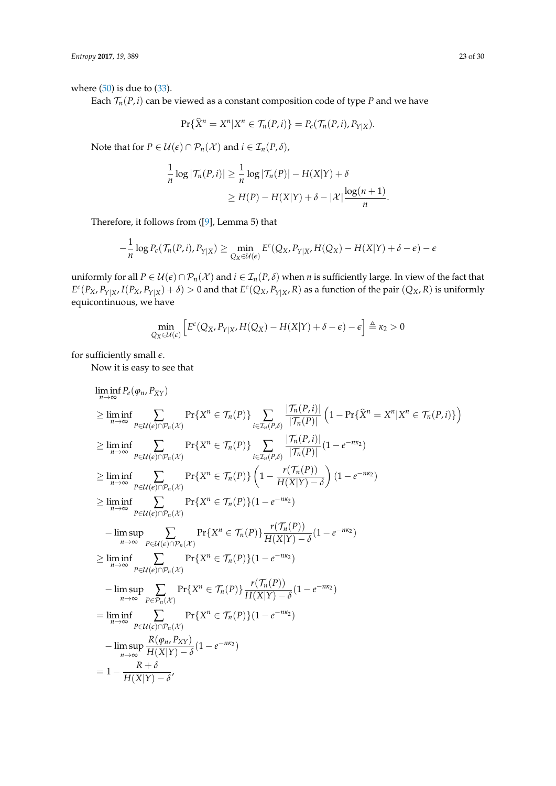where  $(50)$  is due to  $(33)$ .

Each  $\mathcal{T}_n(P, i)$  can be viewed as a constant composition code of type *P* and we have

$$
\Pr{\widehat{X}}^n = X^n | X^n \in \mathcal{T}_n(P, i)\} = P_c(\mathcal{T}_n(P, i), P_{Y|X}).
$$

Note that for  $P \in \mathcal{U}(\epsilon) \cap \mathcal{P}_n(\mathcal{X})$  and  $i \in \mathcal{I}_n(P, \delta)$ ,

$$
\frac{1}{n}\log|\mathcal{T}_n(P,i)| \geq \frac{1}{n}\log|\mathcal{T}_n(P)| - H(X|Y) + \delta
$$
  
\n
$$
\geq H(P) - H(X|Y) + \delta - |\mathcal{X}| \frac{\log(n+1)}{n}.
$$

Therefore, it follows from ([\[9\]](#page-29-6), Lemma 5) that

$$
-\frac{1}{n}\log P_c(\mathcal{T}_n(P,i), P_{Y|X}) \geq \min_{Q_X \in \mathcal{U}(\epsilon)} E^c(Q_X, P_{Y|X}, H(Q_X) - H(X|Y) + \delta - \epsilon) - \epsilon
$$

uniformly for all  $P \in \mathcal{U}(\epsilon) \cap \mathcal{P}_n(\mathcal{X})$  and  $i \in \mathcal{I}_n(P, \delta)$  when *n* is sufficiently large. In view of the fact that  $E^c(P_X, P_{Y|X}, I(P_X, P_{Y|X}) + \delta) > 0$  and that  $E^c(Q_X, P_{Y|X}, R)$  as a function of the pair  $(Q_X, R)$  is uniformly equicontinuous, we have

$$
\min_{Q_X \in \mathcal{U}(\epsilon)} \left[ E^c(Q_X, P_{Y|X}, H(Q_X) - H(X|Y) + \delta - \epsilon) - \epsilon \right] \triangleq \kappa_2 > 0
$$

for sufficiently small *e*.

Now it is easy to see that

$$
\liminf_{n\to\infty} P_e(\varphi_n, P_{XY})
$$
\n
$$
\geq \liminf_{n\to\infty} \sum_{P\in\mathcal{U}(\varepsilon)\cap P_n(X)} \Pr\{X^n \in \mathcal{T}_n(P)\} \sum_{i\in\mathcal{I}_n(P,\delta)} \frac{|\mathcal{T}_n(P,i)|}{|\mathcal{T}_n(P)|} \left(1 - \Pr\{\hat{X}^n = X^n | X^n \in \mathcal{T}_n(P,i)\}\right)
$$
\n
$$
\geq \liminf_{n\to\infty} \sum_{P\in\mathcal{U}(\varepsilon)\cap P_n(X)} \Pr\{X^n \in \mathcal{T}_n(P)\} \sum_{i\in\mathcal{I}_n(P,\delta)} \frac{|\mathcal{T}_n(P,i)|}{|\mathcal{T}_n(P)|} (1 - e^{-nx_2})
$$
\n
$$
\geq \liminf_{n\to\infty} \sum_{P\in\mathcal{U}(\varepsilon)\cap P_n(X)} \Pr\{X^n \in \mathcal{T}_n(P)\} \left(1 - \frac{r(\mathcal{T}_n(P))}{H(X|Y) - \delta}\right) (1 - e^{-nx_2})
$$
\n
$$
\geq \liminf_{n\to\infty} \sum_{P\in\mathcal{U}(\varepsilon)\cap P_n(X)} \Pr\{X^n \in \mathcal{T}_n(P)\} (1 - e^{-nx_2})
$$
\n
$$
- \limsup_{n\to\infty} \sum_{P\in\mathcal{U}(\varepsilon)\cap P_n(X)} \Pr\{X^n \in \mathcal{T}_n(P)\} \frac{r(\mathcal{T}_n(P))}{H(X|Y) - \delta} (1 - e^{-nx_2})
$$
\n
$$
\geq \liminf_{n\to\infty} \sum_{P\in\mathcal{U}(\varepsilon)\cap P_n(X)} \Pr\{X^n \in \mathcal{T}_n(P)\} (1 - e^{-nx_2})
$$
\n
$$
- \limsup_{n\to\infty} \sum_{P\in\mathcal{U}(\varepsilon)\cap P_n(X)} \Pr\{X^n \in \mathcal{T}_n(P)\} \frac{r(\mathcal{T}_n(P))}{H(X|Y) - \delta} (1 - e^{-nx_2})
$$
\n
$$
= \liminf_{n\to\infty} \sum_{P\in\mathcal{U}(\varepsilon)\cap P_n(X)} \Pr\{X^n \in \mathcal{T}_n(P)\} (1 - e^{-nx
$$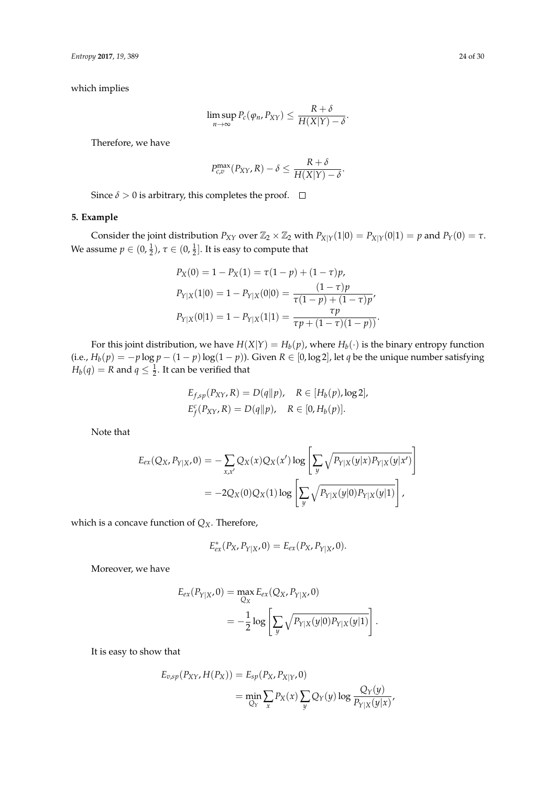which implies

$$
\limsup_{n\to\infty} P_c(\varphi_n, P_{XY}) \leq \frac{R+\delta}{H(X|Y)-\delta}.
$$

Therefore, we have

$$
P_{c,v}^{\max}(P_{XY}, R) - \delta \leq \frac{R + \delta}{H(X|Y) - \delta}.
$$

Since  $\delta > 0$  is arbitrary, this completes the proof.  $\Box$ 

## <span id="page-23-0"></span>**5. Example**

Consider the joint distribution  $P_{XY}$  over  $\mathbb{Z}_2 \times \mathbb{Z}_2$  with  $P_{X|Y}(1|0) = P_{X|Y}(0|1) = p$  and  $P_Y(0) = \tau$ . We assume  $p \in (0, \frac{1}{2})$ ,  $\tau \in (0, \frac{1}{2}]$ . It is easy to compute that

$$
P_X(0) = 1 - P_X(1) = \tau(1 - p) + (1 - \tau)p,
$$
  
\n
$$
P_{Y|X}(1|0) = 1 - P_{Y|X}(0|0) = \frac{(1 - \tau)p}{\tau(1 - p) + (1 - \tau)p'},
$$
  
\n
$$
P_{Y|X}(0|1) = 1 - P_{Y|X}(1|1) = \frac{\tau p}{\tau p + (1 - \tau)(1 - p)}.
$$

For this joint distribution, we have  $H(X|Y) = H_b(p)$ , where  $H_b(\cdot)$  is the binary entropy function (i.e.,  $H_b(p) = -p \log p - (1 - p) \log(1 - p)$ ). Given  $R \in [0, \log 2]$ , let *q* be the unique number satisfying  $H_b(q) = R$  and  $q \leq \frac{1}{2}$ . It can be verified that

$$
E_{f,sp}(P_{XY}, R) = D(q||p), \quad R \in [H_b(p), \log 2],
$$
  

$$
E_f^c(P_{XY}, R) = D(q||p), \quad R \in [0, H_b(p)].
$$

Note that

$$
E_{ex}(Q_X, P_{Y|X}, 0) = -\sum_{x,x'} Q_X(x) Q_X(x') \log \left[ \sum_{y} \sqrt{P_{Y|X}(y|x) P_{Y|X}(y|x')} \right]
$$
  
= -2Q\_X(0)Q\_X(1) log \left[ \sum\_{y} \sqrt{P\_{Y|X}(y|0) P\_{Y|X}(y|1)} \right],

which is a concave function of *QX*. Therefore,

$$
E_{ex}^*(P_X, P_{Y|X}, 0) = E_{ex}(P_X, P_{Y|X}, 0).
$$

Moreover, we have

$$
E_{ex}(P_{Y|X}, 0) = \max_{Q_X} E_{ex}(Q_X, P_{Y|X}, 0)
$$
  
=  $-\frac{1}{2} \log \left[ \sum_{y} \sqrt{P_{Y|X}(y|0) P_{Y|X}(y|1)} \right].$ 

It is easy to show that

$$
E_{v,sp}(P_{XY}, H(P_X)) = E_{sp}(P_X, P_{X|Y}, 0)
$$
  
= 
$$
\min_{Q_Y} \sum_x P_X(x) \sum_y Q_Y(y) \log \frac{Q_Y(y)}{P_{Y|X}(y|x)},
$$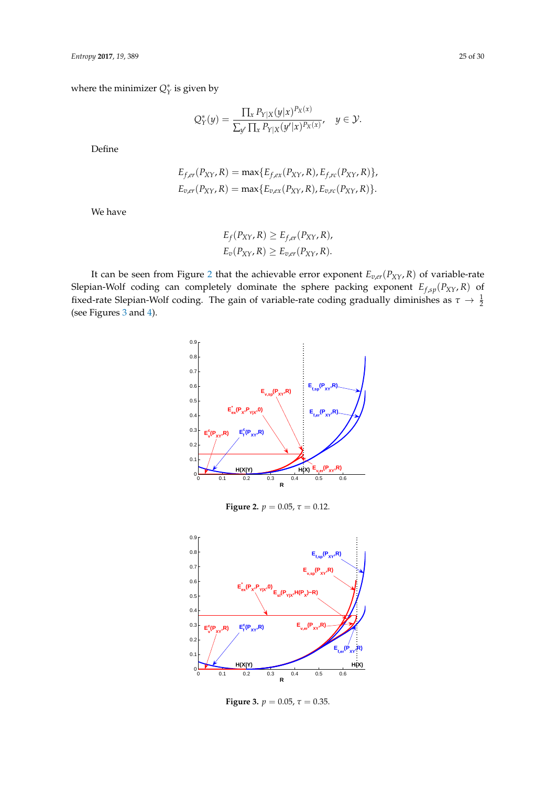where the minimizer  $Q_Y^*$  is given by

$$
Q_Y^*(y) = \frac{\prod_x P_{Y|X}(y|x)^{P_X(x)}}{\sum_{y'} \prod_x P_{Y|X}(y'|x)^{P_X(x)}}, \quad y \in \mathcal{Y}.
$$

Define

$$
E_{f,er}(P_{XY}, R) = \max\{E_{f,ex}(P_{XY}, R), E_{f,rc}(P_{XY}, R)\},
$$
  

$$
E_{v,er}(P_{XY}, R) = \max\{E_{v,ex}(P_{XY}, R), E_{v,rc}(P_{XY}, R)\}.
$$

We have

$$
E_f(P_{XY}, R) \ge E_{f,er}(P_{XY}, R),
$$
  

$$
E_v(P_{XY}, R) \ge E_{v,er}(P_{XY}, R).
$$

<span id="page-24-0"></span>It can be seen from Figure [2](#page-24-0) that the achievable error exponent  $E_{v,er}(P_{XY}, R)$  of variable-rate Slepian-Wolf coding can completely dominate the sphere packing exponent *Ef*,*sp*(*PXY*, *R*) of fixed-rate Slepian-Wolf coding. The gain of variable-rate coding gradually diminishes as  $\tau \to \frac{1}{2}$ (see Figures [3](#page-24-1) and [4\)](#page-25-2).



<span id="page-24-1"></span>

**Figure 3.**  $p = 0.05$ ,  $\tau = 0.35$ .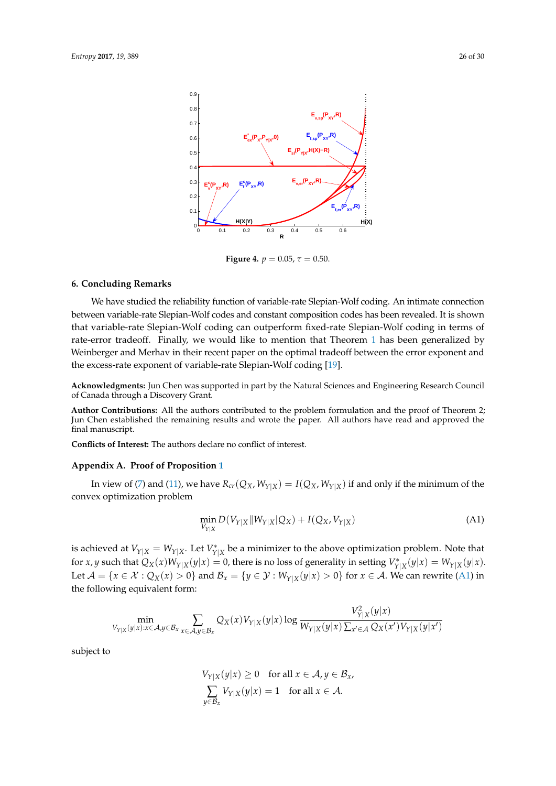<span id="page-25-2"></span>

**Figure 4.**  $p = 0.05$ ,  $\tau = 0.50$ .

## <span id="page-25-0"></span>**6. Concluding Remarks**

We have studied the reliability function of variable-rate Slepian-Wolf coding. An intimate connection between variable-rate Slepian-Wolf codes and constant composition codes has been revealed. It is shown that variable-rate Slepian-Wolf coding can outperform fixed-rate Slepian-Wolf coding in terms of rate-error tradeoff. Finally, we would like to mention that Theorem [1](#page-10-1) has been generalized by Weinberger and Merhav in their recent paper on the optimal tradeoff between the error exponent and the excess-rate exponent of variable-rate Slepian-Wolf coding [\[19\]](#page-29-16).

**Acknowledgments:** Jun Chen was supported in part by the Natural Sciences and Engineering Research Council of Canada through a Discovery Grant.

**Author Contributions:** All the authors contributed to the problem formulation and the proof of Theorem 2; Jun Chen established the remaining results and wrote the paper. All authors have read and approved the final manuscript.

**Conflicts of Interest:** The authors declare no conflict of interest.

#### <span id="page-25-1"></span>**Appendix A. Proof of Proposition [1](#page-4-3)**

In view of [\(7\)](#page-4-5) and [\(11\)](#page-4-4), we have  $R_{cr}(Q_X, W_{Y|X}) = I(Q_X, W_{Y|X})$  if and only if the minimum of the convex optimization problem

$$
\min_{V_{Y|X}} D(V_{Y|X}||W_{Y|X}|Q_X) + I(Q_X, V_{Y|X})
$$
\n(A1)

<span id="page-25-3"></span> $\overline{a}$ 

is achieved at  $V_{Y|X} = W_{Y|X}$ . Let  $V_{Y|X}^*$  be a minimizer to the above optimization problem. Note that for x, y such that  $Q_X(x)W_{Y|X}(y|x) = 0$ , there is no loss of generality in setting  $V^*_{Y|X}(y|x) = W_{Y|X}(y|x)$ . Let  $\mathcal{A} = \{x \in \mathcal{X} : Q_X(x) > 0\}$  and  $\mathcal{B}_x = \{y \in \mathcal{Y} : W_{Y|X}(y|x) > 0\}$  for  $x \in \mathcal{A}$ . We can rewrite [\(A1\)](#page-25-3) in the following equivalent form:

$$
\min_{V_{Y|X}(y|x):x\in\mathcal{A},y\in\mathcal{B}_x}\sum_{x\in\mathcal{A},y\in\mathcal{B}_x}Q_X(x)V_{Y|X}(y|x)\log\frac{V_{Y|X}^2(y|x)}{W_{Y|X}(y|x)\sum_{x'\in\mathcal{A}}Q_X(x')V_{Y|X}(y|x')}
$$

subject to

$$
V_{Y|X}(y|x) \ge 0 \quad \text{for all } x \in \mathcal{A}, y \in \mathcal{B}_x,
$$
  

$$
\sum_{y \in \mathcal{B}_x} V_{Y|X}(y|x) = 1 \quad \text{for all } x \in \mathcal{A}.
$$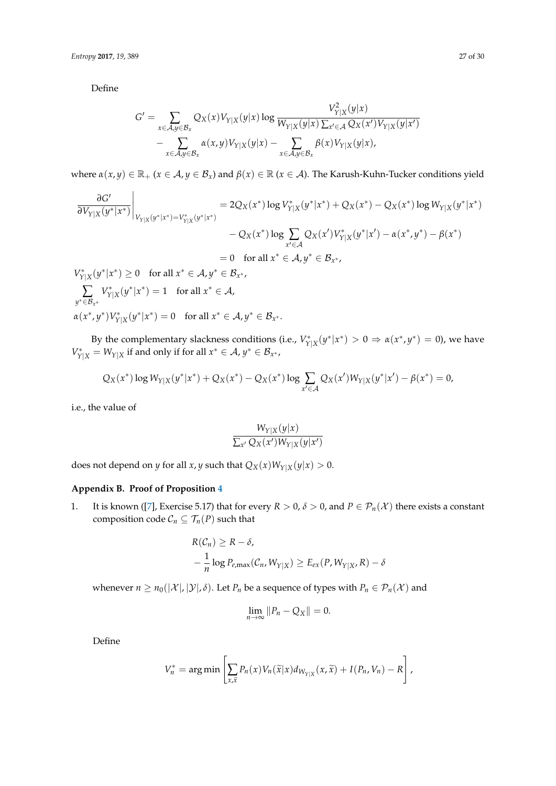Define

$$
G' = \sum_{x \in \mathcal{A}, y \in \mathcal{B}_x} Q_X(x) V_{Y|X}(y|x) \log \frac{V_{Y|X}^2(y|x)}{W_{Y|X}(y|x) \sum_{x' \in \mathcal{A}} Q_X(x') V_{Y|X}(y|x')}
$$
  
 
$$
- \sum_{x \in \mathcal{A}, y \in \mathcal{B}_x} \alpha(x, y) V_{Y|X}(y|x) - \sum_{x \in \mathcal{A}, y \in \mathcal{B}_x} \beta(x) V_{Y|X}(y|x),
$$

where  $\alpha(x, y) \in \mathbb{R}_+$  ( $x \in A$ ,  $y \in B_x$ ) and  $\beta(x) \in \mathbb{R}$  ( $x \in A$ ). The Karush-Kuhn-Tucker conditions yield

$$
\frac{\partial G'}{\partial V_{Y|X}(y^*|x^*)}\Big|_{V_{Y|X}(y^*|x^*)=V_{Y|X}^*(y^*|x^*)} = 2Q_X(x^*)\log V_{Y|X}^*(y^*|x^*) + Q_X(x^*) - Q_X(x^*)\log W_{Y|X}(y^*|x^*)
$$
  
\n
$$
-Q_X(x^*)\log \sum_{x'\in \mathcal{A}} Q_X(x')V_{Y|X}^*(y^*|x') - \alpha(x^*,y^*) - \beta(x^*)
$$
  
\n
$$
= 0 \text{ for all } x^* \in \mathcal{A}, y^* \in \mathcal{B}_{x^*},
$$

 $V^*_{Y|X}(y^*|x^*) \ge 0$  for all  $x^* \in A, y^* \in B_{x^*}$ , ∑ *y* <sup>∗</sup>∈B*<sup>x</sup>* ∗  $V^*_{Y|X}(y^*|x^*) = 1$  for all  $x^* \in A$ ,  $\alpha(x^*, y^*) V^*_{Y|X}(y^*|x^*) = 0$  for all  $x^* \in A, y^* \in B_{x^*}.$ 

By the complementary slackness conditions (i.e.,  $V^*_{Y|X}(y^*|x^*) > 0 \Rightarrow \alpha(x^*, y^*) = 0$ ), we have  $V_{Y|X}^* = W_{Y|X}$  if and only if for all  $x^* \in A$ ,  $y^* \in B_{x^*}$ ,

$$
Q_X(x^*) \log W_{Y|X}(y^*|x^*) + Q_X(x^*) - Q_X(x^*) \log \sum_{x' \in \mathcal{A}} Q_X(x') W_{Y|X}(y^*|x') - \beta(x^*) = 0,
$$

i.e., the value of

$$
\frac{W_{Y|X}(y|x)}{\sum_{x'} Q_X(x')W_{Y|X}(y|x')}
$$

does not depend on *y* for all *x*, *y* such that  $Q_X(x)W_{Y|X}(y|x) > 0$ .

## <span id="page-26-0"></span>**Appendix B. Proof of Proposition [4](#page-5-1)**

1. It is known ([\[7\]](#page-29-4), Exercise 5.17) that for every  $R > 0$ ,  $\delta > 0$ , and  $P \in \mathcal{P}_n(\mathcal{X})$  there exists a constant composition code  $C_n \subseteq \mathcal{T}_n(P)$  such that

$$
R(C_n) \ge R - \delta,
$$
  
 
$$
-\frac{1}{n} \log P_{e,\max}(C_n, W_{Y|X}) \ge E_{ex}(P, W_{Y|X}, R) - \delta
$$

whenever  $n \ge n_0(|\mathcal{X}|, |\mathcal{Y}|, \delta)$ . Let  $P_n$  be a sequence of types with  $P_n \in \mathcal{P}_n(\mathcal{X})$  and

$$
\lim_{n\to\infty}||P_n-Q_X||=0.
$$

Define

$$
V_n^* = \arg\min\left[\sum_{x,\widetilde{x}} P_n(x) V_n(\widetilde{x}|x) d_{W_{Y|X}}(x,\widetilde{x}) + I(P_n,V_n) - R\right],
$$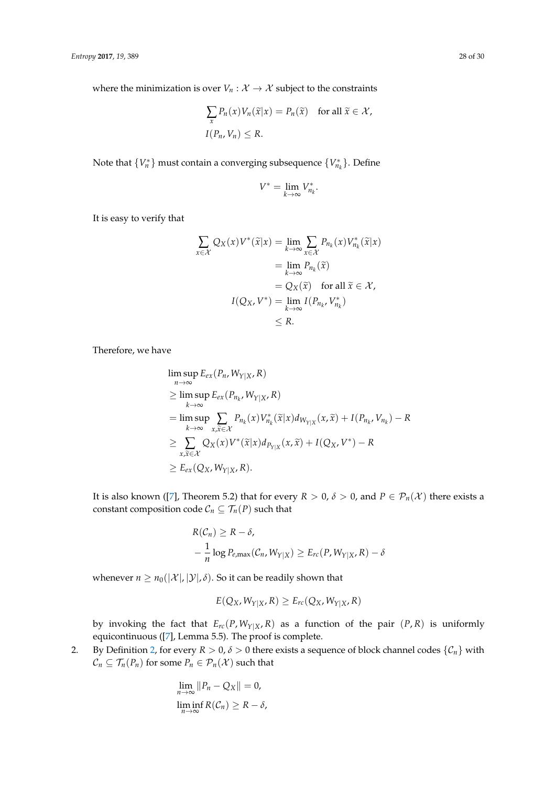where the minimization is over  $V_n: \mathcal{X} \to \mathcal{X}$  subject to the constraints

$$
\sum_{x} P_n(x) V_n(\widetilde{x}|x) = P_n(\widetilde{x}) \text{ for all } \widetilde{x} \in \mathcal{X},
$$
  
I $(P_n, V_n) \le R$ .

Note that  $\{V_n^*\}$  must contain a converging subsequence  $\{V_{n_k}^*\}$ . Define

$$
V^*=\lim_{k\to\infty}V_{n_k}^*.
$$

It is easy to verify that

$$
\sum_{x \in \mathcal{X}} Q_X(x) V^*(\widetilde{x}|x) = \lim_{k \to \infty} \sum_{x \in \mathcal{X}} P_{n_k}(x) V^*_{n_k}(\widetilde{x}|x)
$$
  
\n
$$
= \lim_{k \to \infty} P_{n_k}(\widetilde{x})
$$
  
\n
$$
= Q_X(\widetilde{x}) \text{ for all } \widetilde{x} \in \mathcal{X},
$$
  
\n
$$
I(Q_X, V^*) = \lim_{k \to \infty} I(P_{n_k}, V^*_{n_k})
$$
  
\n
$$
\leq R.
$$

Therefore, we have

$$
\limsup_{n \to \infty} E_{ex}(P_n, W_{Y|X}, R)
$$
\n
$$
\geq \limsup_{k \to \infty} E_{ex}(P_{n_k}, W_{Y|X}, R)
$$
\n
$$
= \limsup_{k \to \infty} \sum_{x, \tilde{x} \in \mathcal{X}} P_{n_k}(x) V_{n_k}^*(\tilde{x}|x) d_{W_{Y|X}}(x, \tilde{x}) + I(P_{n_k}, V_{n_k}) - R
$$
\n
$$
\geq \sum_{x, \tilde{x} \in \mathcal{X}} Q_X(x) V^*(\tilde{x}|x) d_{P_{Y|X}}(x, \tilde{x}) + I(Q_X, V^*) - R
$$
\n
$$
\geq E_{ex}(Q_X, W_{Y|X}, R).
$$

It is also known ([\[7\]](#page-29-4), Theorem 5.2) that for every  $R > 0$ ,  $\delta > 0$ , and  $P \in \mathcal{P}_n(\mathcal{X})$  there exists a constant composition code  $C_n \subseteq \mathcal{T}_n(P)$  such that

$$
R(C_n) \ge R - \delta,
$$
  
 
$$
-\frac{1}{n} \log P_{e,\max}(C_n, W_{Y|X}) \ge E_{rc}(P, W_{Y|X}, R) - \delta
$$

whenever  $n \geq n_0(|\mathcal{X}|, |\mathcal{Y}|, \delta)$ . So it can be readily shown that

$$
E(Q_X, W_{Y|X}, R) \ge E_{rc}(Q_X, W_{Y|X}, R)
$$

by invoking the fact that  $E_{rc}(P, W_{Y|X}, R)$  as a function of the pair  $(P, R)$  is uniformly equicontinuous ([\[7\]](#page-29-4), Lemma 5.5). The proof is complete.

2. By Definition [2,](#page-3-1) for every  $R > 0$ ,  $\delta > 0$  there exists a sequence of block channel codes  $\{C_n\}$  with  $C_n \subseteq \mathcal{T}_n(P_n)$  for some  $P_n \in \mathcal{P}_n(\mathcal{X})$  such that

$$
\lim_{n \to \infty} ||P_n - Q_X|| = 0,
$$
  

$$
\liminf_{n \to \infty} R(C_n) \ge R - \delta,
$$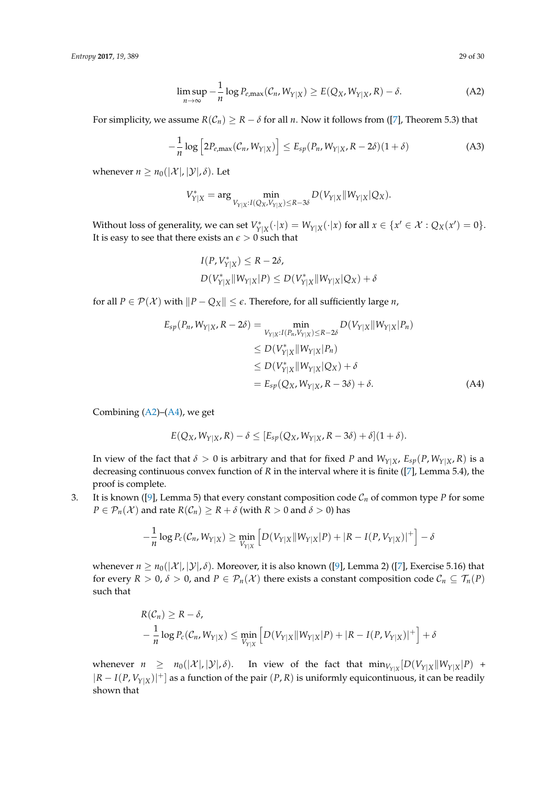*Entropy* **2017**, *19*, 389 29 of 30

<span id="page-28-0"></span>
$$
\limsup_{n \to \infty} -\frac{1}{n} \log P_{e,\max}(\mathcal{C}_n, W_{Y|X}) \ge E(Q_X, W_{Y|X}, R) - \delta.
$$
 (A2)

For simplicity, we assume  $R(\mathcal{C}_n) \geq R - \delta$  for all *n*. Now it follows from ([\[7\]](#page-29-4), Theorem 5.3) that

$$
-\frac{1}{n}\log\left[2P_{e,\max}(\mathcal{C}_n,W_{Y|X})\right] \leq E_{sp}(P_n,W_{Y|X},R-2\delta)(1+\delta)
$$
 (A3)

whenever  $n \geq n_0(|\mathcal{X}|, |\mathcal{Y}|, \delta)$ . Let

$$
V_{Y|X}^*=\arg\min_{V_{Y|X}:I(Q_X,V_{Y|X})\leq R-3\delta}D(V_{Y|X}\|W_{Y|X}|Q_X).
$$

Without loss of generality, we can set  $V^*_{Y|X}(\cdot|x) = W_{Y|X}(\cdot|x)$  for all  $x \in \{x' \in \mathcal{X} : Q_X(x') = 0\}.$ It is easy to see that there exists an  $\epsilon > 0$  such that

<span id="page-28-1"></span>
$$
I(P, V_{Y|X}^*) \le R - 2\delta,
$$
  
 
$$
D(V_{Y|X}^*||W_{Y|X}|P) \le D(V_{Y|X}^*||W_{Y|X}|Q_X) + \delta
$$

for all  $P \in \mathcal{P}(\mathcal{X})$  with  $\|P - Q_X\| \leq \epsilon$ . Therefore, for all sufficiently large *n*,

$$
E_{sp}(P_n, W_{Y|X}, R - 2\delta) = \min_{V_{Y|X}: I(P_n, V_{Y|X}) \le R - 2\delta} D(V_{Y|X} || W_{Y|X} | P_n)
$$
  
\n
$$
\le D(V_{Y|X}^* || W_{Y|X} | P_n)
$$
  
\n
$$
\le D(V_{Y|X}^* || W_{Y|X} | Q_X) + \delta
$$
  
\n
$$
= E_{sp}(Q_X, W_{Y|X}, R - 3\delta) + \delta.
$$
 (A4)

Combining [\(A2\)](#page-28-0)–[\(A4\)](#page-28-1), we get

$$
E(Q_X, W_{Y|X}, R) - \delta \leq [E_{sp}(Q_X, W_{Y|X}, R - 3\delta) + \delta](1 + \delta).
$$

In view of the fact that  $\delta > 0$  is arbitrary and that for fixed *P* and  $W_{Y|X}$ ,  $E_{sp}(P, W_{Y|X}, R)$  is a decreasing continuous convex function of *R* in the interval where it is finite ([\[7\]](#page-29-4), Lemma 5.4), the proof is complete.

3. It is known ([\[9\]](#page-29-6), Lemma 5) that every constant composition code  $C_n$  of common type *P* for some *P* ∈  $\mathcal{P}_n(\mathcal{X})$  and rate *R*( $\mathcal{C}_n$ ) ≥ *R* + *δ* (with *R* > 0 and *δ* > 0) has

$$
-\frac{1}{n}\log P_c(C_n, W_{Y|X}) \ge \min_{V_{Y|X}} \left[ D(V_{Y|X}||W_{Y|X}|P) + |R - I(P, V_{Y|X})|^+ \right] - \delta
$$

whenever  $n \ge n_0(|\mathcal{X}|, |\mathcal{Y}|, \delta)$ . Moreover, it is also known ([\[9\]](#page-29-6), Lemma 2) ([\[7\]](#page-29-4), Exercise 5.16) that for every  $R > 0$ ,  $\delta > 0$ , and  $P \in \mathcal{P}_n(\mathcal{X})$  there exists a constant composition code  $\mathcal{C}_n \subseteq \mathcal{T}_n(P)$ such that

$$
R(C_n) \ge R - \delta,
$$
  
-  $\frac{1}{n} \log P_c(C_n, W_{Y|X}) \le \min_{V_{Y|X}} \left[ D(V_{Y|X} || W_{Y|X} | P) + |R - I(P, V_{Y|X})|^+ \right] + \delta$ 

whenever  $n \geq n_0(|\mathcal{X}|, |\mathcal{Y}|, \delta)$ . In view of the fact that  $\min_{V_{Y|X}} [D(V_{Y|X} || W_{Y|X} | P)$  + |*R* − *I*(*P*, *VY*|*X*)| <sup>+</sup>] as a function of the pair (*P*, *R*) is uniformly equicontinuous, it can be readily shown that